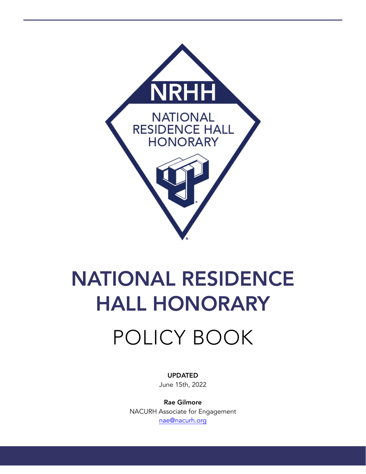

# NATIONAL RESIDENCE HALL HONORARY

# POLICY BOOK

UPDATED June 15th, 2022

Rae Gilmore NACURH Associate for Engagement [nae@nacurh.org](mailto:nae@nacurh.org)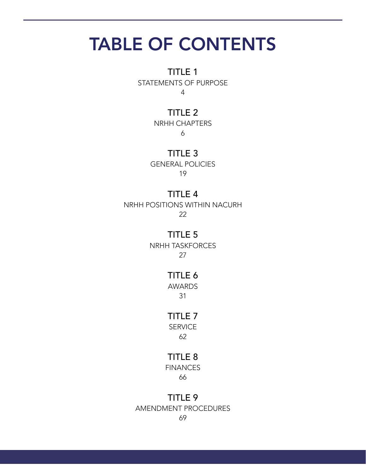# TABLE OF CONTENTS

TITLE 1

STATEMENTS OF PURPOSE 4

#### TITLE 2

NRHH CHAPTERS 6

TITLE 3 GENERAL POLICIES 19

#### TITLE 4

NRHH POSITIONS WITHIN NACURH 22

#### TITLE 5

NRHH TASKFORCES 27

#### TITLE 6

AWARDS 31

#### TITLE 7

**SERVICE** 62

#### TITLE 8

**FINANCES** 66

#### TITLE 9

AMENDMENT PROCEDURES

69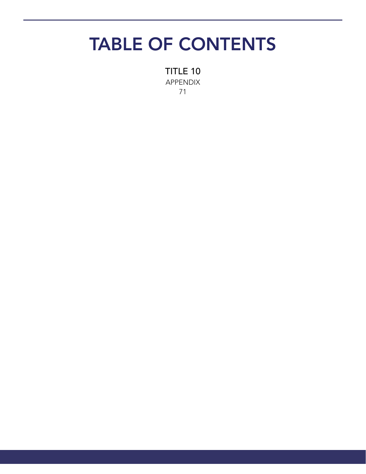# TABLE OF CONTENTS

TITLE 10 APPENDIX 71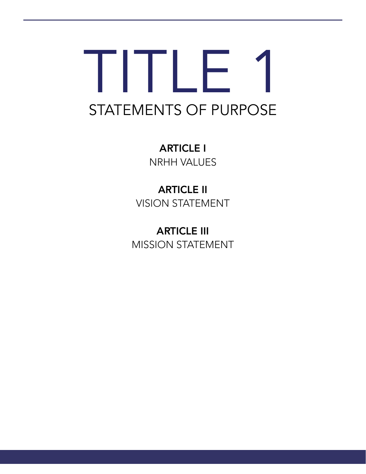# TITLE 1 STATEMENTS OF PURPOSE

ARTICLE I NRHH VALUES

ARTICLE II VISION STATEMENT

ARTICLE III MISSION STATEMENT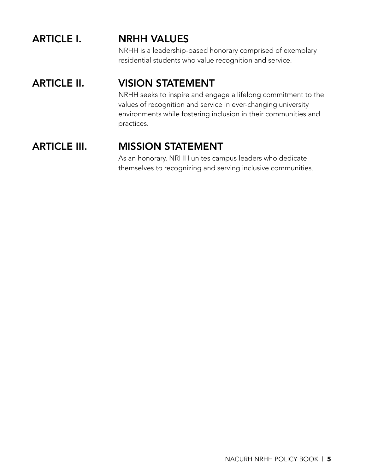# ARTICLE I. NRHH VALUES

NRHH is a leadership-based honorary comprised of exemplary residential students who value recognition and service.

# ARTICLE II. VISION STATEMENT

NRHH seeks to inspire and engage a lifelong commitment to the values of recognition and service in ever-changing university environments while fostering inclusion in their communities and practices.

# ARTICLE III. MISSION STATEMENT

As an honorary, NRHH unites campus leaders who dedicate themselves to recognizing and serving inclusive communities.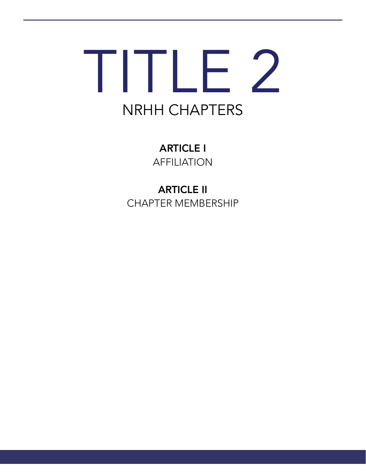# TITLE 2 NRHH CHAPTERS

ARTICLE I AFFILIATION

ARTICLE II CHAPTER MEMBERSHIP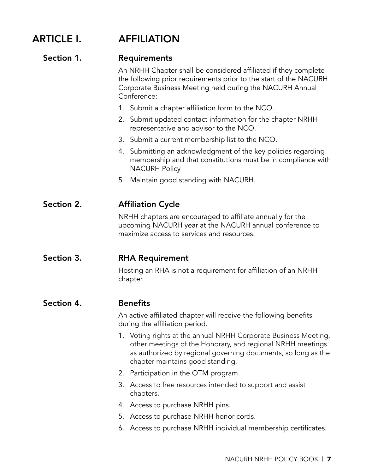# ARTICLE I. AFFILIATION

#### Section 1. Requirements

An NRHH Chapter shall be considered affiliated if they complete the following prior requirements prior to the start of the NACURH Corporate Business Meeting held during the NACURH Annual Conference:

- 1. Submit a chapter affiliation form to the NCO.
- 2. Submit updated contact information for the chapter NRHH representative and advisor to the NCO.
- 3. Submit a current membership list to the NCO.
- 4. Submitting an acknowledgment of the key policies regarding membership and that constitutions must be in compliance with NACURH Policy
- 5. Maintain good standing with NACURH.

#### Section 2. **Affiliation Cycle**

NRHH chapters are encouraged to affiliate annually for the upcoming NACURH year at the NACURH annual conference to maximize access to services and resources.

#### Section 3. RHA Requirement

Hosting an RHA is not a requirement for affiliation of an NRHH chapter.

#### Section 4. Benefits

An active affiliated chapter will receive the following benefits during the affiliation period.

- 1. Voting rights at the annual NRHH Corporate Business Meeting, other meetings of the Honorary, and regional NRHH meetings as authorized by regional governing documents, so long as the chapter maintains good standing.
- 2. Participation in the OTM program.
- 3. Access to free resources intended to support and assist chapters.
- 4. Access to purchase NRHH pins.
- 5. Access to purchase NRHH honor cords.
- 6. Access to purchase NRHH individual membership certificates.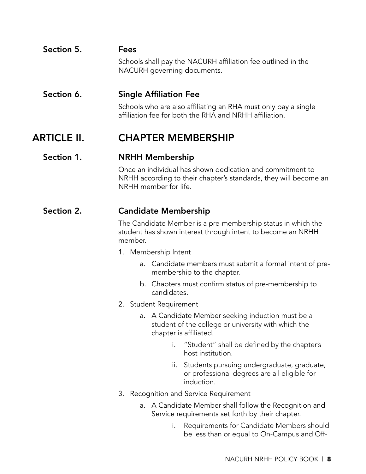### Section 5. Fees Schools shall pay the NACURH affiliation fee outlined in the NACURH governing documents.

#### Section 6. Single Affiliation Fee

Schools who are also affiliating an RHA must only pay a single affiliation fee for both the RHA and NRHH affiliation.

### ARTICLE II. CHAPTER MEMBERSHIP

#### Section 1. NRHH Membership

Once an individual has shown dedication and commitment to NRHH according to their chapter's standards, they will become an NRHH member for life.

#### Section 2. Candidate Membership

The Candidate Member is a pre-membership status in which the student has shown interest through intent to become an NRHH member.

- 1. Membership Intent
	- a. Candidate members must submit a formal intent of premembership to the chapter.
	- b. Chapters must confirm status of pre-membership to candidates.
- 2. Student Requirement
	- a. A Candidate Member seeking induction must be a student of the college or university with which the chapter is affiliated.
		- i. "Student" shall be defined by the chapter's host institution.
		- ii. Students pursuing undergraduate, graduate, or professional degrees are all eligible for induction.
- 3. Recognition and Service Requirement
	- a. A Candidate Member shall follow the Recognition and Service requirements set forth by their chapter.
		- i. Requirements for Candidate Members should be less than or equal to On-Campus and Off-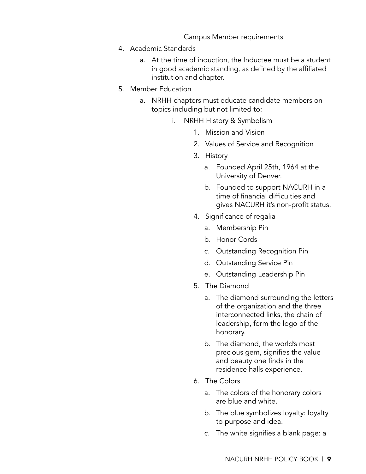Campus Member requirements

- 4. Academic Standards
	- a. At the time of induction, the Inductee must be a student in good academic standing, as defined by the affiliated institution and chapter.
- 5. Member Education
	- a. NRHH chapters must educate candidate members on topics including but not limited to:
		- i. NRHH History & Symbolism
			- 1. Mission and Vision
			- 2. Values of Service and Recognition
			- 3. History
				- a. Founded April 25th, 1964 at the University of Denver.
				- b. Founded to support NACURH in a time of financial difficulties and gives NACURH it's non-profit status.
			- 4. Significance of regalia
				- a. Membership Pin
				- b. Honor Cords
				- c. Outstanding Recognition Pin
				- d. Outstanding Service Pin
				- e. Outstanding Leadership Pin
			- 5. The Diamond
				- a. The diamond surrounding the letters of the organization and the three interconnected links, the chain of leadership, form the logo of the honorary.
				- b. The diamond, the world's most precious gem, signifies the value and beauty one finds in the residence halls experience.
			- 6. The Colors
				- a. The colors of the honorary colors are blue and white.
				- b. The blue symbolizes loyalty: loyalty to purpose and idea.
				- c. The white signifies a blank page: a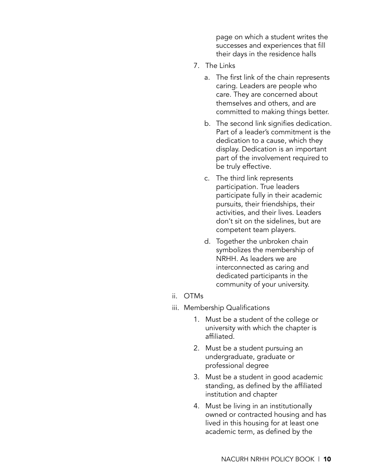page on which a student writes the successes and experiences that fill their days in the residence halls

- 7. The Links
	- a. The first link of the chain represents caring. Leaders are people who care. They are concerned about themselves and others, and are committed to making things better.
	- b. The second link signifies dedication. Part of a leader's commitment is the dedication to a cause, which they display. Dedication is an important part of the involvement required to be truly effective.
	- c. The third link represents participation. True leaders participate fully in their academic pursuits, their friendships, their activities, and their lives. Leaders don't sit on the sidelines, but are competent team players.
	- d. Together the unbroken chain symbolizes the membership of NRHH. As leaders we are interconnected as caring and dedicated participants in the community of your university.
- ii. OTMs
- iii. Membership Qualifications
	- 1. Must be a student of the college or university with which the chapter is affiliated.
	- 2. Must be a student pursuing an undergraduate, graduate or professional degree
	- 3. Must be a student in good academic standing, as defined by the affiliated institution and chapter
	- 4. Must be living in an institutionally owned or contracted housing and has lived in this housing for at least one academic term, as defined by the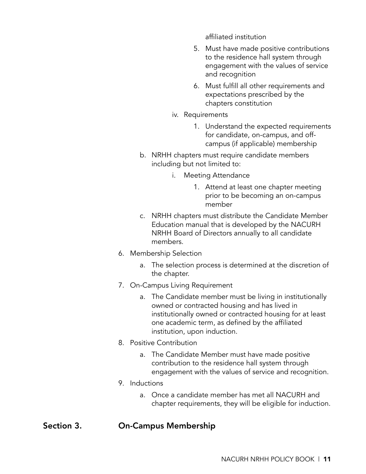affiliated institution

- 5. Must have made positive contributions to the residence hall system through engagement with the values of service and recognition
- 6. Must fulfill all other requirements and expectations prescribed by the chapters constitution
- iv. Requirements
	- 1. Understand the expected requirements for candidate, on-campus, and offcampus (if applicable) membership
- b. NRHH chapters must require candidate members including but not limited to:
	- i. Meeting Attendance
		- 1. Attend at least one chapter meeting prior to be becoming an on-campus member
- c. NRHH chapters must distribute the Candidate Member Education manual that is developed by the NACURH NRHH Board of Directors annually to all candidate members.
- 6. Membership Selection
	- a. The selection process is determined at the discretion of the chapter.
- 7. On-Campus Living Requirement
	- a. The Candidate member must be living in institutionally owned or contracted housing and has lived in institutionally owned or contracted housing for at least one academic term, as defined by the affiliated institution, upon induction.
- 8. Positive Contribution
	- a. The Candidate Member must have made positive contribution to the residence hall system through engagement with the values of service and recognition.
- 9. Inductions
	- a. Once a candidate member has met all NACURH and chapter requirements, they will be eligible for induction.

#### Section 3. On-Campus Membership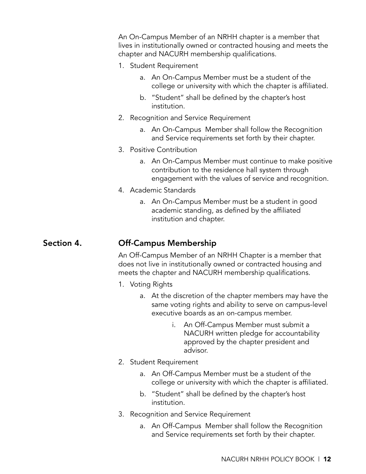An On-Campus Member of an NRHH chapter is a member that lives in institutionally owned or contracted housing and meets the chapter and NACURH membership qualifications.

- 1. Student Requirement
	- a. An On-Campus Member must be a student of the college or university with which the chapter is affiliated.
	- b. "Student" shall be defined by the chapter's host institution.
- 2. Recognition and Service Requirement
	- a. An On-Campus Member shall follow the Recognition and Service requirements set forth by their chapter.
- 3. Positive Contribution
	- a. An On-Campus Member must continue to make positive contribution to the residence hall system through engagement with the values of service and recognition.
- 4. Academic Standards
	- a. An On-Campus Member must be a student in good academic standing, as defined by the affiliated institution and chapter.

#### Section 4. Off-Campus Membership

An Off-Campus Member of an NRHH Chapter is a member that does not live in institutionally owned or contracted housing and meets the chapter and NACURH membership qualifications.

- 1. Voting Rights
	- a. At the discretion of the chapter members may have the same voting rights and ability to serve on campus-level executive boards as an on-campus member.
		- i. An Off-Campus Member must submit a NACURH written pledge for accountability approved by the chapter president and advisor.
- 2. Student Requirement
	- a. An Off-Campus Member must be a student of the college or university with which the chapter is affiliated.
	- b. "Student" shall be defined by the chapter's host institution.
- 3. Recognition and Service Requirement
	- a. An Off-Campus Member shall follow the Recognition and Service requirements set forth by their chapter.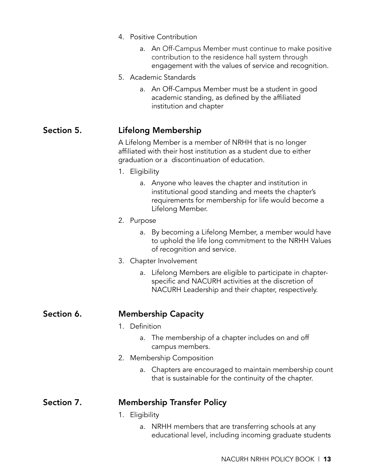|            | 4. Positive Contribution                                                                                                                                                                 |
|------------|------------------------------------------------------------------------------------------------------------------------------------------------------------------------------------------|
|            | a. An Off-Campus Member must continue to make positive<br>contribution to the residence hall system through<br>engagement with the values of service and recognition.                    |
|            | 5. Academic Standards                                                                                                                                                                    |
|            | An Off-Campus Member must be a student in good<br>a.<br>academic standing, as defined by the affiliated<br>institution and chapter                                                       |
| Section 5. | Lifelong Membership                                                                                                                                                                      |
|            | A Lifelong Member is a member of NRHH that is no longer<br>affiliated with their host institution as a student due to either<br>graduation or a discontinuation of education.            |
|            | 1. Eligibility                                                                                                                                                                           |
|            | Anyone who leaves the chapter and institution in<br>a.<br>institutional good standing and meets the chapter's<br>requirements for membership for life would become a<br>Lifelong Member. |
|            | 2. Purpose                                                                                                                                                                               |
|            | By becoming a Lifelong Member, a member would have<br>a.<br>to uphold the life long commitment to the NRHH Values<br>of recognition and service.                                         |
|            | Chapter Involvement<br>3.                                                                                                                                                                |
|            | a. Lifelong Members are eligible to participate in chapter-<br>specific and NACURH activities at the discretion of<br>NACURH Leadership and their chapter, respectively.                 |
| Section 6. | <b>Membership Capacity</b>                                                                                                                                                               |
|            | 1. Definition                                                                                                                                                                            |
|            | The membership of a chapter includes on and off<br>a.<br>campus members.                                                                                                                 |
|            | 2. Membership Composition                                                                                                                                                                |
|            | a. Chapters are encouraged to maintain membership count<br>that is sustainable for the continuity of the chapter.                                                                        |
| Section 7. | <b>Membership Transfer Policy</b>                                                                                                                                                        |
|            | 1. Eligibility                                                                                                                                                                           |
|            | NRHH members that are transferring schools at any<br>a.<br>educational level, including incoming graduate students                                                                       |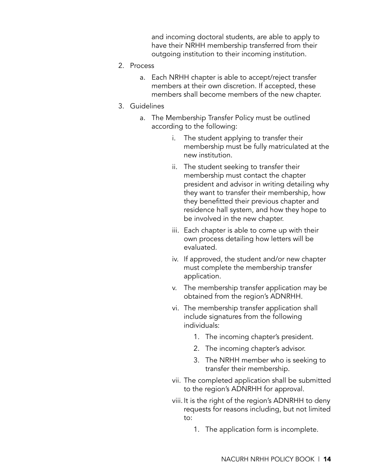and incoming doctoral students, are able to apply to have their NRHH membership transferred from their outgoing institution to their incoming institution.

- 2. Process
	- a. Each NRHH chapter is able to accept/reject transfer members at their own discretion. If accepted, these members shall become members of the new chapter.
- 3. Guidelines
	- a. The Membership Transfer Policy must be outlined according to the following:
		- i. The student applying to transfer their membership must be fully matriculated at the new institution.
		- ii. The student seeking to transfer their membership must contact the chapter president and advisor in writing detailing why they want to transfer their membership, how they benefitted their previous chapter and residence hall system, and how they hope to be involved in the new chapter.
		- iii. Each chapter is able to come up with their own process detailing how letters will be evaluated.
		- iv. If approved, the student and/or new chapter must complete the membership transfer application.
		- v. The membership transfer application may be obtained from the region's ADNRHH.
		- vi. The membership transfer application shall include signatures from the following individuals:
			- 1. The incoming chapter's president.
			- 2. The incoming chapter's advisor.
			- 3. The NRHH member who is seeking to transfer their membership.
		- vii. The completed application shall be submitted to the region's ADNRHH for approval.
		- viii. It is the right of the region's ADNRHH to deny requests for reasons including, but not limited to:
			- 1. The application form is incomplete.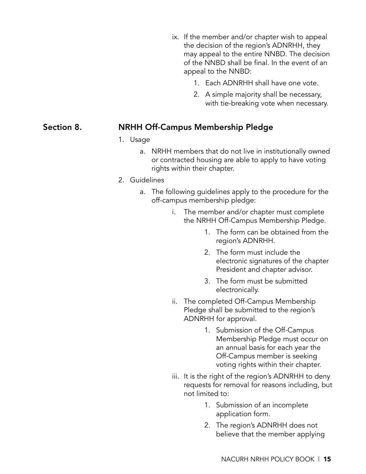- ix. If the member and/or chapter wish to appeal the decision of the region's ADNRHH, they may appeal to the entire NNBD. The decision of the NNBD shall be final. In the event of an appeal to the NNBD:
	- 1. Each ADNRHH shall have one vote.
	- 2. A simple majority shall be necessary, with tie-breaking vote when necessary.

#### Section 8. NRHH Off-Campus Membership Pledge

- 1. Usage
	- a. NRHH members that do not live in institutionally owned or contracted housing are able to apply to have voting rights within their chapter.
- 2. Guidelines
	- a. The following guidelines apply to the procedure for the off-campus membership pledge:
		- i. The member and/or chapter must complete the NRHH Off-Campus Membership Pledge.
			- 1. The form can be obtained from the region's ADNRHH.
			- 2. The form must include the electronic signatures of the chapter President and chapter advisor.
			- 3. The form must be submitted electronically.
		- ii. The completed Off-Campus Membership Pledge shall be submitted to the region's ADNRHH for approval.
			- 1. Submission of the Off-Campus Membership Pledge must occur on an annual basis for each year the Off-Campus member is seeking voting rights within their chapter.
		- iii. It is the right of the region's ADNRHH to deny requests for removal for reasons including, but not limited to:
			- 1. Submission of an incomplete application form.
			- 2. The region's ADNRHH does not believe that the member applying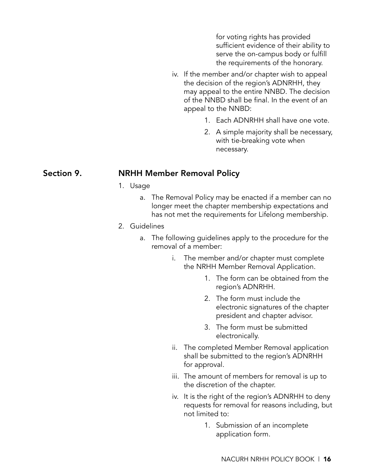for voting rights has provided sufficient evidence of their ability to serve the on-campus body or fulfill the requirements of the honorary.

- iv. If the member and/or chapter wish to appeal the decision of the region's ADNRHH, they may appeal to the entire NNBD. The decision of the NNBD shall be final. In the event of an appeal to the NNBD:
	- 1. Each ADNRHH shall have one vote.
	- 2. A simple majority shall be necessary, with tie-breaking vote when necessary.

#### Section 9. NRHH Member Removal Policy

- 1. Usage
	- a. The Removal Policy may be enacted if a member can no longer meet the chapter membership expectations and has not met the requirements for Lifelong membership.
- 2. Guidelines
	- a. The following guidelines apply to the procedure for the removal of a member:
		- i. The member and/or chapter must complete the NRHH Member Removal Application.
			- 1. The form can be obtained from the region's ADNRHH.
			- 2. The form must include the electronic signatures of the chapter president and chapter advisor.
			- 3. The form must be submitted electronically.
		- ii. The completed Member Removal application shall be submitted to the region's ADNRHH for approval.
		- iii. The amount of members for removal is up to the discretion of the chapter.
		- iv. It is the right of the region's ADNRHH to deny requests for removal for reasons including, but not limited to:
			- 1. Submission of an incomplete application form.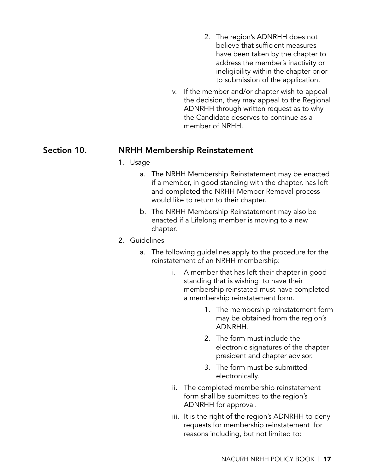- 2. The region's ADNRHH does not believe that sufficient measures have been taken by the chapter to address the member's inactivity or ineligibility within the chapter prior to submission of the application.
- v. If the member and/or chapter wish to appeal the decision, they may appeal to the Regional ADNRHH through written request as to why the Candidate deserves to continue as a member of NRHH.

#### Section 10. NRHH Membership Reinstatement

#### 1. Usage

- a. The NRHH Membership Reinstatement may be enacted if a member, in good standing with the chapter, has left and completed the NRHH Member Removal process would like to return to their chapter.
- b. The NRHH Membership Reinstatement may also be enacted if a Lifelong member is moving to a new chapter.
- 2. Guidelines
	- a. The following guidelines apply to the procedure for the reinstatement of an NRHH membership:
		- i. A member that has left their chapter in good standing that is wishing to have their membership reinstated must have completed a membership reinstatement form.
			- 1. The membership reinstatement form may be obtained from the region's ADNRHH.
			- 2. The form must include the electronic signatures of the chapter president and chapter advisor.
			- 3. The form must be submitted electronically.
		- ii. The completed membership reinstatement form shall be submitted to the region's ADNRHH for approval.
		- iii. It is the right of the region's ADNRHH to deny requests for membership reinstatement for reasons including, but not limited to: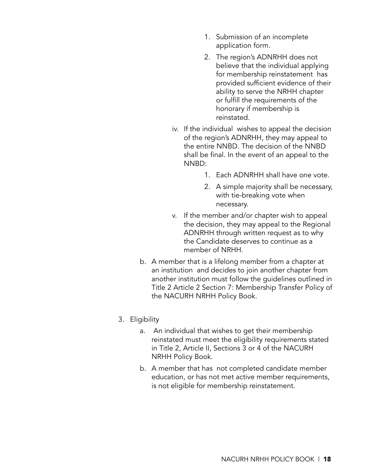- 1. Submission of an incomplete application form.
- 2. The region's ADNRHH does not believe that the individual applying for membership reinstatement has provided sufficient evidence of their ability to serve the NRHH chapter or fulfill the requirements of the honorary if membership is reinstated.
- iv. If the individual wishes to appeal the decision of the region's ADNRHH, they may appeal to the entire NNBD. The decision of the NNBD shall be final. In the event of an appeal to the NNBD:
	- 1. Each ADNRHH shall have one vote.
	- 2. A simple majority shall be necessary, with tie-breaking vote when necessary.
- v. If the member and/or chapter wish to appeal the decision, they may appeal to the Regional ADNRHH through written request as to why the Candidate deserves to continue as a member of NRHH.
- b. A member that is a lifelong member from a chapter at an institution and decides to join another chapter from another institution must follow the guidelines outlined in Title 2 Article 2 Section 7: Membership Transfer Policy of the NACURH NRHH Policy Book.

#### 3. Eligibility

- a. An individual that wishes to get their membership reinstated must meet the eligibility requirements stated in Title 2, Article II, Sections 3 or 4 of the NACURH NRHH Policy Book.
- b. A member that has not completed candidate member education, or has not met active member requirements, is not eligible for membership reinstatement.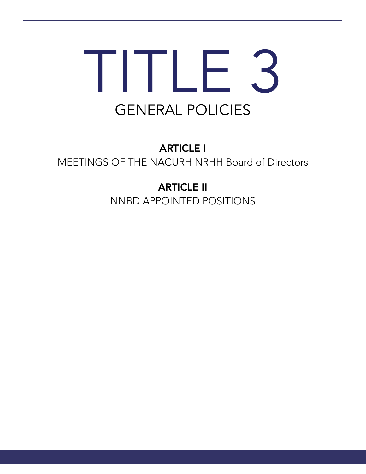# TITLE 3 GENERAL POLICIES

ARTICLE I MEETINGS OF THE NACURH NRHH Board of Directors

> ARTICLE II NNBD APPOINTED POSITIONS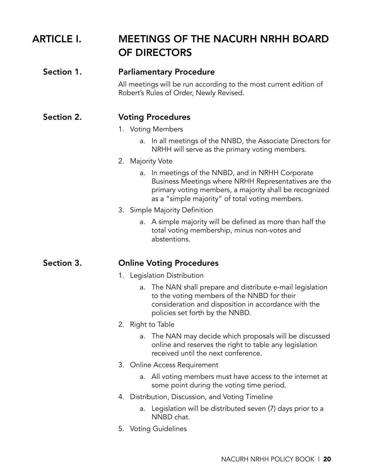| <b>ARTICLE I.</b> | <b>MEETINGS OF THE NACURH NRHH BOARD</b><br><b>OF DIRECTORS</b>                                                                                                                                                           |
|-------------------|---------------------------------------------------------------------------------------------------------------------------------------------------------------------------------------------------------------------------|
| Section 1.        | <b>Parliamentary Procedure</b>                                                                                                                                                                                            |
|                   | All meetings will be run according to the most current edition of<br>Robert's Rules of Order, Newly Revised.                                                                                                              |
| Section 2.        | <b>Voting Procedures</b>                                                                                                                                                                                                  |
|                   | 1. Voting Members                                                                                                                                                                                                         |
|                   | In all meetings of the NNBD, the Associate Directors for<br>a.<br>NRHH will serve as the primary voting members.                                                                                                          |
|                   | 2. Majority Vote                                                                                                                                                                                                          |
|                   | In meetings of the NNBD, and in NRHH Corporate<br>a.<br>Business Meetings where NRHH Representatives are the<br>primary voting members, a majority shall be recognized<br>as a "simple majority" of total voting members. |
|                   | 3. Simple Majority Definition                                                                                                                                                                                             |
|                   | a. A simple majority will be defined as more than half the<br>total voting membership, minus non-votes and<br>abstentions.                                                                                                |
| Section 3.        | <b>Online Voting Procedures</b>                                                                                                                                                                                           |
|                   | 1. Legislation Distribution                                                                                                                                                                                               |
|                   | The NAN shall prepare and distribute e-mail legislation<br>a.<br>to the voting members of the NNBD for their<br>consideration and disposition in accordance with the<br>policies set forth by the NNBD.                   |
|                   | 2. Right to Table                                                                                                                                                                                                         |
|                   | a. The NAN may decide which proposals will be discussed<br>online and reserves the right to table any legislation<br>received until the next conference.                                                                  |
|                   | 3. Online Access Requirement                                                                                                                                                                                              |
|                   | All voting members must have access to the internet at<br>a.<br>some point during the voting time period.                                                                                                                 |
|                   | Distribution, Discussion, and Voting Timeline<br>4.                                                                                                                                                                       |
|                   | Legislation will be distributed seven (7) days prior to a<br>a.<br>NNBD chat.                                                                                                                                             |
|                   | 5. Voting Guidelines                                                                                                                                                                                                      |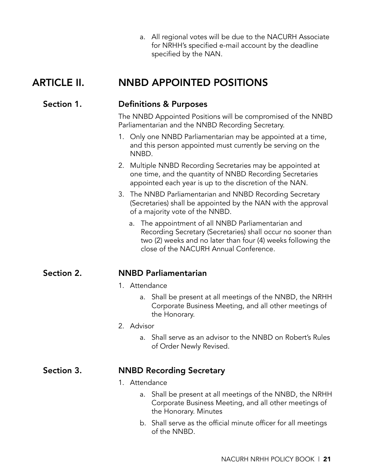a. All regional votes will be due to the NACURH Associate for NRHH's specified e-mail account by the deadline specified by the NAN.

# ARTICLE II. NNBD APPOINTED POSITIONS

#### Section 1. Definitions & Purposes

The NNBD Appointed Positions will be compromised of the NNBD Parliamentarian and the NNBD Recording Secretary.

- 1. Only one NNBD Parliamentarian may be appointed at a time, and this person appointed must currently be serving on the NNBD.
- 2. Multiple NNBD Recording Secretaries may be appointed at one time, and the quantity of NNBD Recording Secretaries appointed each year is up to the discretion of the NAN.
- 3. The NNBD Parliamentarian and NNBD Recording Secretary (Secretaries) shall be appointed by the NAN with the approval of a majority vote of the NNBD.
	- a. The appointment of all NNBD Parliamentarian and Recording Secretary (Secretaries) shall occur no sooner than two (2) weeks and no later than four (4) weeks following the close of the NACURH Annual Conference.

#### Section 2. NNBD Parliamentarian

#### 1. Attendance

a. Shall be present at all meetings of the NNBD, the NRHH Corporate Business Meeting, and all other meetings of the Honorary.

#### 2. Advisor

a. Shall serve as an advisor to the NNBD on Robert's Rules of Order Newly Revised.

#### Section 3. NNBD Recording Secretary

- 1. Attendance
	- a. Shall be present at all meetings of the NNBD, the NRHH Corporate Business Meeting, and all other meetings of the Honorary. Minutes
	- b. Shall serve as the official minute officer for all meetings of the NNBD.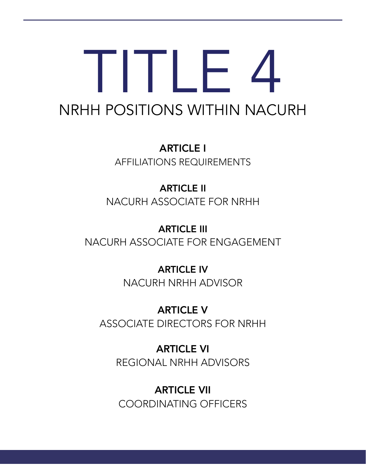# TITLE 4 NRHH POSITIONS WITHIN NACURH

ARTICLE I AFFILIATIONS REQUIREMENTS

ARTICLE II NACURH ASSOCIATE FOR NRHH

ARTICLE III NACURH ASSOCIATE FOR ENGAGEMENT

> ARTICLE IV NACURH NRHH ADVISOR

ARTICLE V ASSOCIATE DIRECTORS FOR NRHH

> ARTICLE VI REGIONAL NRHH ADVISORS

ARTICLE VII COORDINATING OFFICERS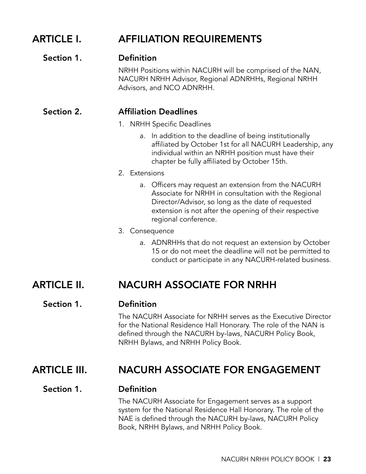# ARTICLE I. AFFILIATION REQUIREMENTS

#### Section 1. Definition

NRHH Positions within NACURH will be comprised of the NAN, NACURH NRHH Advisor, Regional ADNRHHs, Regional NRHH Advisors, and NCO ADNRHH.

#### Section 2. Affiliation Deadlines

- 1. NRHH Specific Deadlines
	- a. In addition to the deadline of being institutionally affiliated by October 1st for all NACURH Leadership, any individual within an NRHH position must have their chapter be fully affiliated by October 15th.
- 2. Extensions
	- a. Officers may request an extension from the NACURH Associate for NRHH in consultation with the Regional Director/Advisor, so long as the date of requested extension is not after the opening of their respective regional conference.
- 3. Consequence
	- a. ADNRHHs that do not request an extension by October 15 or do not meet the deadline will not be permitted to conduct or participate in any NACURH-related business.

### ARTICLE II. NACURH ASSOCIATE FOR NRHH

#### Section 1. Definition

The NACURH Associate for NRHH serves as the Executive Director for the National Residence Hall Honorary. The role of the NAN is defined through the NACURH by-laws, NACURH Policy Book, NRHH Bylaws, and NRHH Policy Book.

## ARTICLE III. NACURH ASSOCIATE FOR ENGAGEMENT

#### Section 1. Definition

The NACURH Associate for Engagement serves as a support system for the National Residence Hall Honorary. The role of the NAE is defined through the NACURH by-laws, NACURH Policy Book, NRHH Bylaws, and NRHH Policy Book.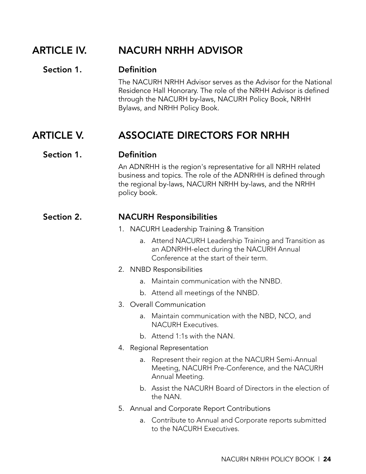### ARTICLE IV. NACURH NRHH ADVISOR

#### Section 1. Definition

The NACURH NRHH Advisor serves as the Advisor for the National Residence Hall Honorary. The role of the NRHH Advisor is defined through the NACURH by-laws, NACURH Policy Book, NRHH Bylaws, and NRHH Policy Book.

# ARTICLE V. ASSOCIATE DIRECTORS FOR NRHH

#### Section 1. Definition

An ADNRHH is the region's representative for all NRHH related business and topics. The role of the ADNRHH is defined through the regional by-laws, NACURH NRHH by-laws, and the NRHH policy book.

#### Section 2. NACURH Responsibilities

- 1. NACURH Leadership Training & Transition
	- a. Attend NACURH Leadership Training and Transition as an ADNRHH-elect during the NACURH Annual Conference at the start of their term.
- 2. NNBD Responsibilities
	- a. Maintain communication with the NNBD.
	- b. Attend all meetings of the NNBD.
- 3. Overall Communication
	- a. Maintain communication with the NBD, NCO, and NACURH Executives.
	- b. Attend 1:1s with the NAN.
- 4. Regional Representation
	- a. Represent their region at the NACURH Semi-Annual Meeting, NACURH Pre-Conference, and the NACURH Annual Meeting.
	- b. Assist the NACURH Board of Directors in the election of the NAN.
- 5. Annual and Corporate Report Contributions
	- a. Contribute to Annual and Corporate reports submitted to the NACURH Executives.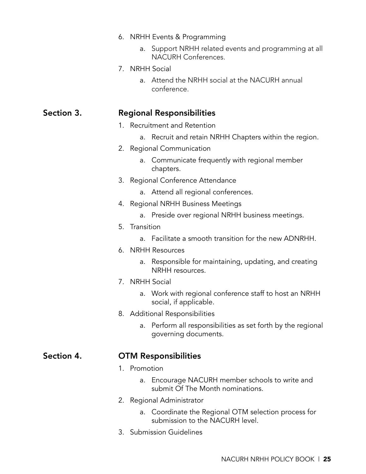- 6. NRHH Events & Programming
	- a. Support NRHH related events and programming at all NACURH Conferences.
- 7. NRHH Social
	- a. Attend the NRHH social at the NACURH annual conference.

#### Section 3. Regional Responsibilities

- 1. Recruitment and Retention
	- a. Recruit and retain NRHH Chapters within the region.
- 2. Regional Communication
	- a. Communicate frequently with regional member chapters.
- 3. Regional Conference Attendance
	- a. Attend all regional conferences.
- 4. Regional NRHH Business Meetings
	- a. Preside over regional NRHH business meetings.
- 5. Transition
	- a. Facilitate a smooth transition for the new ADNRHH.
- 6. NRHH Resources
	- a. Responsible for maintaining, updating, and creating NRHH resources.
- 7. NRHH Social
	- a. Work with regional conference staff to host an NRHH social, if applicable.
- 8. Additional Responsibilities
	- a. Perform all responsibilities as set forth by the regional governing documents.

#### Section 4. OTM Responsibilities

- 1. Promotion
	- a. Encourage NACURH member schools to write and submit Of The Month nominations.
- 2. Regional Administrator
	- a. Coordinate the Regional OTM selection process for submission to the NACURH level.
- 3. Submission Guidelines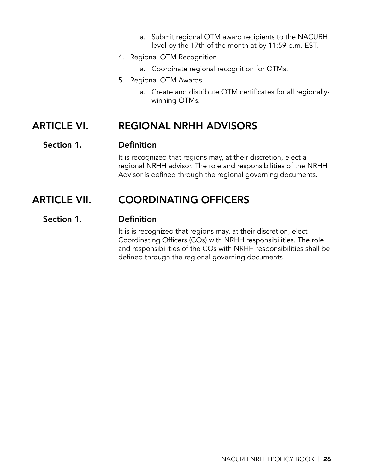- a. Submit regional OTM award recipients to the NACURH level by the 17th of the month at by 11:59 p.m. EST.
- 4. Regional OTM Recognition
	- a. Coordinate regional recognition for OTMs.
- 5. Regional OTM Awards
	- a. Create and distribute OTM certificates for all regionallywinning OTMs.

### ARTICLE VI. REGIONAL NRHH ADVISORS

#### Section 1. Definition

It is recognized that regions may, at their discretion, elect a regional NRHH advisor. The role and responsibilities of the NRHH Advisor is defined through the regional governing documents.

### ARTICLE VII. COORDINATING OFFICERS

#### Section 1. Definition

It is is recognized that regions may, at their discretion, elect Coordinating Officers (COs) with NRHH responsibilities. The role and responsibilities of the COs with NRHH responsibilities shall be defined through the regional governing documents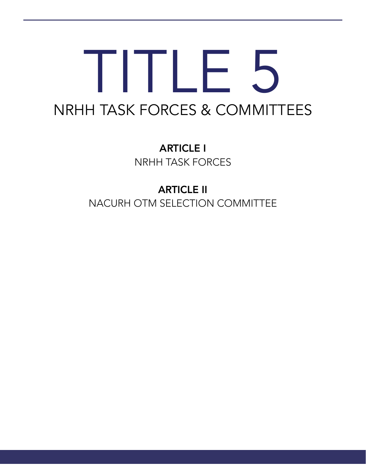# TITLE 5 NRHH TASK FORCES & COMMITTEES

ARTICLE I NRHH TASK FORCES

ARTICLE II NACURH OTM SELECTION COMMITTEE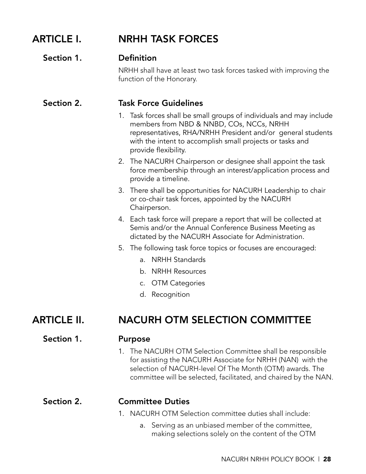## ARTICLE I. NRHH TASK FORCES

#### Section 1. Definition

NRHH shall have at least two task forces tasked with improving the function of the Honorary.

#### Section 2. Task Force Guidelines

- 1. Task forces shall be small groups of individuals and may include members from NBD & NNBD, COs, NCCs, NRHH representatives, RHA/NRHH President and/or general students with the intent to accomplish small projects or tasks and provide flexibility.
- 2. The NACURH Chairperson or designee shall appoint the task force membership through an interest/application process and provide a timeline.
- 3. There shall be opportunities for NACURH Leadership to chair or co-chair task forces, appointed by the NACURH Chairperson.
- 4. Each task force will prepare a report that will be collected at Semis and/or the Annual Conference Business Meeting as dictated by the NACURH Associate for Administration.
- 5. The following task force topics or focuses are encouraged:
	- a. NRHH Standards
	- b. NRHH Resources
	- c. OTM Categories
	- d. Recognition

## ARTICLE II. NACURH OTM SELECTION COMMITTEE

#### Section 1. Purpose

- 
- 1. The NACURH OTM Selection Committee shall be responsible for assisting the NACURH Associate for NRHH (NAN) with the selection of NACURH-level Of The Month (OTM) awards. The committee will be selected, facilitated, and chaired by the NAN.

#### Section 2. Committee Duties

- 1. NACURH OTM Selection committee duties shall include:
	- a. Serving as an unbiased member of the committee, making selections solely on the content of the OTM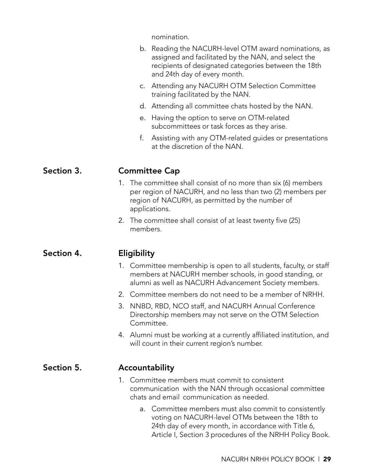nomination.

|            | b. Reading the NACURH-level OTM award nominations, as<br>assigned and facilitated by the NAN, and select the<br>recipients of designated categories between the 18th<br>and 24th day of every month. |
|------------|------------------------------------------------------------------------------------------------------------------------------------------------------------------------------------------------------|
|            | Attending any NACURH OTM Selection Committee<br>C.<br>training facilitated by the NAN.                                                                                                               |
|            | Attending all committee chats hosted by the NAN.<br>d.                                                                                                                                               |
|            | Having the option to serve on OTM-related<br>е.<br>subcommittees or task forces as they arise.                                                                                                       |
|            | f.<br>Assisting with any OTM-related guides or presentations<br>at the discretion of the NAN.                                                                                                        |
| Section 3. | <b>Committee Cap</b>                                                                                                                                                                                 |
|            | 1. The committee shall consist of no more than six (6) members<br>per region of NACURH, and no less than two (2) members per<br>region of NACURH, as permitted by the number of<br>applications.     |
|            | 2. The committee shall consist of at least twenty five (25)<br>members.                                                                                                                              |
| Section 4. | Eligibility                                                                                                                                                                                          |
|            | 1. Committee membership is open to all students, faculty, or staff<br>members at NACURH member schools, in good standing, or<br>alumni as well as NACURH Advancement Society members.                |
|            | 2. Committee members do not need to be a member of NRHH.                                                                                                                                             |
|            | 3. NNBD, RBD, NCO staff, and NACURH Annual Conference<br>Directorship members may not serve on the OTM Selection<br>Committee.                                                                       |
|            | 4. Alumni must be working at a currently affiliated institution, and<br>will count in their current region's number.                                                                                 |
| Section 5. | Accountability                                                                                                                                                                                       |
|            | 1. Committee members must commit to consistent<br>communication with the NAN through occasional committee<br>chats and email communication as needed.                                                |
|            | Committee members must also commit to consistently<br>a.<br>voting on NACURH-level OTMs between the 18th to<br>$24th$ day of overy month in accordance with $\overline{1}$                           |

24th day of every month, in accordance with Title 6, Article I, Section 3 procedures of the NRHH Policy Book.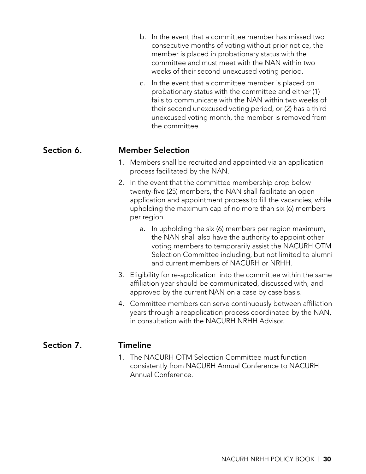| b. In the event that a committee member has missed two |
|--------------------------------------------------------|
| consecutive months of voting without prior notice, the |
| member is placed in probationary status with the       |
| committee and must meet with the NAN within two        |
| weeks of their second unexcused voting period.         |

c. In the event that a committee member is placed on probationary status with the committee and either (1) fails to communicate with the NAN within two weeks of their second unexcused voting period, or (2) has a third unexcused voting month, the member is removed from the committee.

#### Section 6. Member Selection

- 1. Members shall be recruited and appointed via an application process facilitated by the NAN.
- 2. In the event that the committee membership drop below twenty-five (25) members, the NAN shall facilitate an open application and appointment process to fill the vacancies, while upholding the maximum cap of no more than six (6) members per region.
	- a. In upholding the six (6) members per region maximum, the NAN shall also have the authority to appoint other voting members to temporarily assist the NACURH OTM Selection Committee including, but not limited to alumni and current members of NACURH or NRHH.
- 3. Eligibility for re-application into the committee within the same affiliation year should be communicated, discussed with, and approved by the current NAN on a case by case basis.
- 4. Committee members can serve continuously between affiliation years through a reapplication process coordinated by the NAN, in consultation with the NACURH NRHH Advisor.

#### Section 7. Timeline

1. The NACURH OTM Selection Committee must function consistently from NACURH Annual Conference to NACURH Annual Conference.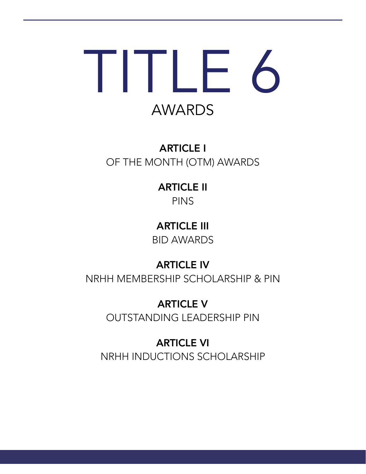# IIIF6 AWARDS

# ARTICLE I OF THE MONTH (OTM) AWARDS

# ARTICLE II PINS

ARTICLE III BID AWARDS

# ARTICLE IV

NRHH MEMBERSHIP SCHOLARSHIP & PIN

ARTICLE V OUTSTANDING LEADERSHIP PIN

ARTICLE VI NRHH INDUCTIONS SCHOLARSHIP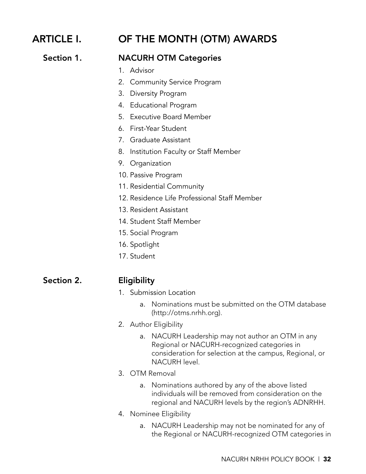# ARTICLE I. OF THE MONTH (OTM) AWARDS

#### Section 1. NACURH OTM Categories

- 1. Advisor
- 2. Community Service Program
- 3. Diversity Program
- 4. Educational Program
- 5. Executive Board Member
- 6. First-Year Student
- 7. Graduate Assistant
- 8. Institution Faculty or Staff Member
- 9. Organization
- 10. Passive Program
- 11. Residential Community
- 12. Residence Life Professional Staff Member
- 13. Resident Assistant
- 14. Student Staff Member
- 15. Social Program
- 16. Spotlight
- 17. Student

#### Section 2. **Eligibility**

- 1. Submission Location
	- a. Nominations must be submitted on the OTM database (http://otms.nrhh.org).
- 2. Author Eligibility
	- a. NACURH Leadership may not author an OTM in any Regional or NACURH-recognized categories in consideration for selection at the campus, Regional, or NACURH level.
- 3. OTM Removal
	- a. Nominations authored by any of the above listed individuals will be removed from consideration on the regional and NACURH levels by the region's ADNRHH.
- 4. Nominee Eligibility
	- a. NACURH Leadership may not be nominated for any of the Regional or NACURH-recognized OTM categories in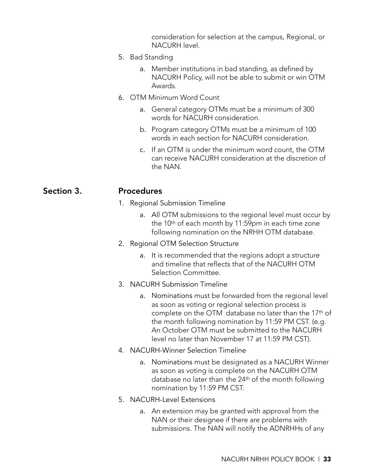consideration for selection at the campus, Regional, or NACURH level.

- 5. Bad Standing
	- a. Member institutions in bad standing, as defined by NACURH Policy, will not be able to submit or win OTM Awards.
- 6. OTM Minimum Word Count
	- a. General category OTMs must be a minimum of 300 words for NACURH consideration.
	- b. Program category OTMs must be a minimum of 100 words in each section for NACURH consideration.
	- c. If an OTM is under the minimum word count, the OTM can receive NACURH consideration at the discretion of the NAN.

#### Section 3. Procedures

- 1. Regional Submission Timeline
	- a. All OTM submissions to the regional level must occur by the 10<sup>th</sup> of each month by 11:59pm in each time zone following nomination on the NRHH OTM database.
- 2. Regional OTM Selection Structure
	- a. It is recommended that the regions adopt a structure and timeline that reflects that of the NACURH OTM Selection Committee.
- 3. NACURH Submission Timeline
	- a. Nominations must be forwarded from the regional level as soon as voting or regional selection process is complete on the OTM database no later than the 17th of the month following nomination by 11:59 PM CST. (e.g. An October OTM must be submitted to the NACURH level no later than November 17 at 11:59 PM CST).
- 4. NACURH-Winner Selection Timeline
	- a. Nominations must be designated as a NACURH Winner as soon as voting is complete on the NACURH OTM database no later than the 24th of the month following nomination by 11:59 PM CST.
- 5. NACURH-Level Extensions
	- a. An extension may be granted with approval from the NAN or their designee if there are problems with submissions. The NAN will notify the ADNRHHs of any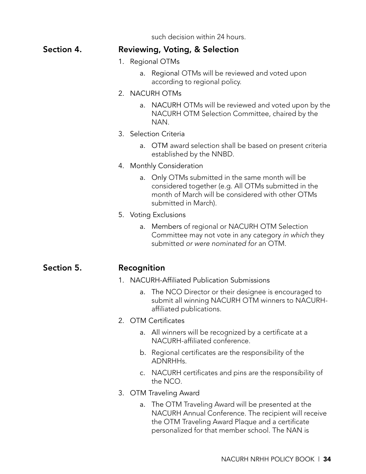such decision within 24 hours.

|            | SUCH QUESION WILHIN Z4 NOUIS.                                                                                                                                                           |
|------------|-----------------------------------------------------------------------------------------------------------------------------------------------------------------------------------------|
| Section 4. | <b>Reviewing, Voting, &amp; Selection</b>                                                                                                                                               |
|            | 1. Regional OTMs                                                                                                                                                                        |
|            | Regional OTMs will be reviewed and voted upon<br>a.<br>according to regional policy.                                                                                                    |
|            | 2. NACURH OTMs                                                                                                                                                                          |
|            | NACURH OTMs will be reviewed and voted upon by the<br>a.<br>NACURH OTM Selection Committee, chaired by the<br>NAN.                                                                      |
|            | 3. Selection Criteria                                                                                                                                                                   |
|            | a. OTM award selection shall be based on present criteria<br>established by the NNBD.                                                                                                   |
|            | 4. Monthly Consideration                                                                                                                                                                |
|            | Only OTMs submitted in the same month will be<br>a.<br>considered together (e.g. All OTMs submitted in the<br>month of March will be considered with other OTMs<br>submitted in March). |
|            | 5. Voting Exclusions                                                                                                                                                                    |
|            | Members of regional or NACURH OTM Selection<br>a.<br>Committee may not vote in any category in which they<br>submitted or were nominated for an OTM.                                    |
| Section 5. | Recognition                                                                                                                                                                             |
|            | 1. NACURH-Affiliated Publication Submissions                                                                                                                                            |
|            | The NCO Director or their designee is encouraged to<br>a.<br>submit all winning NACURH OTM winners to NACURH-<br>affiliated publications.                                               |
|            | <b>OTM</b> Certificates<br>$2_{1}$                                                                                                                                                      |
|            | All winners will be recognized by a certificate at a<br>a.<br>NACURH-affiliated conference.                                                                                             |
|            | b. Regional certificates are the responsibility of the<br>ADNRHHs.                                                                                                                      |
|            | NACURH certificates and pins are the responsibility of<br>C.<br>the NCO.                                                                                                                |

- 3. OTM Traveling Award
	- a. The OTM Traveling Award will be presented at the NACURH Annual Conference. The recipient will receive the OTM Traveling Award Plaque and a certificate personalized for that member school. The NAN is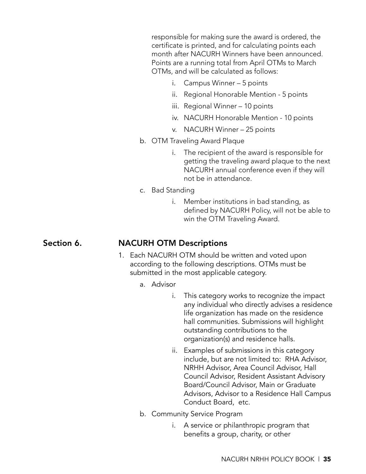responsible for making sure the award is ordered, the certificate is printed, and for calculating points each month after NACURH Winners have been announced. Points are a running total from April OTMs to March OTMs, and will be calculated as follows:

- i. Campus Winner 5 points
- ii. Regional Honorable Mention 5 points
- iii. Regional Winner 10 points
- iv. NACURH Honorable Mention 10 points
- v. NACURH Winner 25 points
- b. OTM Traveling Award Plaque
	- i. The recipient of the award is responsible for getting the traveling award plaque to the next NACURH annual conference even if they will not be in attendance.
- c. Bad Standing
	- i. Member institutions in bad standing, as defined by NACURH Policy, will not be able to win the OTM Traveling Award.

#### Section 6. NACURH OTM Descriptions

- 1. Each NACURH OTM should be written and voted upon according to the following descriptions. OTMs must be submitted in the most applicable category.
	- a. Advisor
		- i. This category works to recognize the impact any individual who directly advises a residence life organization has made on the residence hall communities. Submissions will highlight outstanding contributions to the organization(s) and residence halls.
		- ii. Examples of submissions in this category include, but are not limited to: RHA Advisor, NRHH Advisor, Area Council Advisor, Hall Council Advisor, Resident Assistant Advisory Board/Council Advisor, Main or Graduate Advisors, Advisor to a Residence Hall Campus Conduct Board, etc.
	- b. Community Service Program
		- i. A service or philanthropic program that benefits a group, charity, or other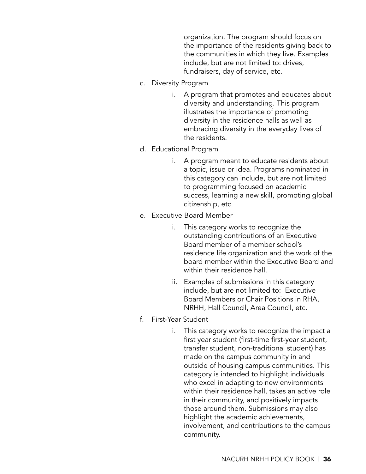organization. The program should focus on the importance of the residents giving back to the communities in which they live. Examples include, but are not limited to: drives, fundraisers, day of service, etc.

- c. Diversity Program
	- i. A program that promotes and educates about diversity and understanding. This program illustrates the importance of promoting diversity in the residence halls as well as embracing diversity in the everyday lives of the residents.
- d. Educational Program
	- i. A program meant to educate residents about a topic, issue or idea. Programs nominated in this category can include, but are not limited to programming focused on academic success, learning a new skill, promoting global citizenship, etc.
- e. Executive Board Member
	- i. This category works to recognize the outstanding contributions of an Executive Board member of a member school's residence life organization and the work of the board member within the Executive Board and within their residence hall.
	- ii. Examples of submissions in this category include, but are not limited to: Executive Board Members or Chair Positions in RHA, NRHH, Hall Council, Area Council, etc.
- f. First-Year Student
	- i. This category works to recognize the impact a first year student (first-time first-year student, transfer student, non-traditional student) has made on the campus community in and outside of housing campus communities. This category is intended to highlight individuals who excel in adapting to new environments within their residence hall, takes an active role in their community, and positively impacts those around them. Submissions may also highlight the academic achievements, involvement, and contributions to the campus community.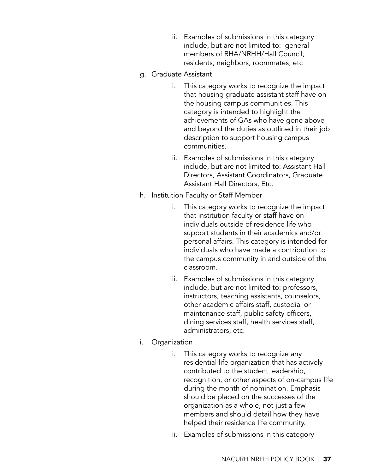- ii. Examples of submissions in this category include, but are not limited to: general members of RHA/NRHH/Hall Council, residents, neighbors, roommates, etc
- g. Graduate Assistant
	- i. This category works to recognize the impact that housing graduate assistant staff have on the housing campus communities. This category is intended to highlight the achievements of GAs who have gone above and beyond the duties as outlined in their job description to support housing campus communities.
	- ii. Examples of submissions in this category include, but are not limited to: Assistant Hall Directors, Assistant Coordinators, Graduate Assistant Hall Directors, Etc.
- h. Institution Faculty or Staff Member
	- i. This category works to recognize the impact that institution faculty or staff have on individuals outside of residence life who support students in their academics and/or personal affairs. This category is intended for individuals who have made a contribution to the campus community in and outside of the classroom.
	- ii. Examples of submissions in this category include, but are not limited to: professors, instructors, teaching assistants, counselors, other academic affairs staff, custodial or maintenance staff, public safety officers, dining services staff, health services staff, administrators, etc.
- i. Organization
	- i. This category works to recognize any residential life organization that has actively contributed to the student leadership, recognition, or other aspects of on-campus life during the month of nomination. Emphasis should be placed on the successes of the organization as a whole, not just a few members and should detail how they have helped their residence life community.
	- ii. Examples of submissions in this category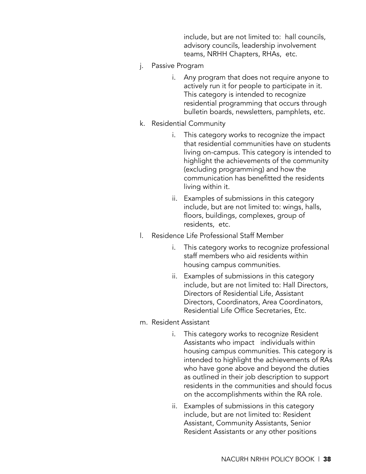include, but are not limited to: hall councils, advisory councils, leadership involvement teams, NRHH Chapters, RHAs, etc.

- j. Passive Program
	- i. Any program that does not require anyone to actively run it for people to participate in it. This category is intended to recognize residential programming that occurs through bulletin boards, newsletters, pamphlets, etc.
- k. Residential Community
	- i. This category works to recognize the impact that residential communities have on students living on-campus. This category is intended to highlight the achievements of the community (excluding programming) and how the communication has benefitted the residents living within it.
	- ii. Examples of submissions in this category include, but are not limited to: wings, halls, floors, buildings, complexes, group of residents, etc.
- l. Residence Life Professional Staff Member
	- i. This category works to recognize professional staff members who aid residents within housing campus communities.
	- ii. Examples of submissions in this category include, but are not limited to: Hall Directors, Directors of Residential Life, Assistant Directors, Coordinators, Area Coordinators, Residential Life Office Secretaries, Etc.
- m. Resident Assistant
	- i. This category works to recognize Resident Assistants who impact individuals within housing campus communities. This category is intended to highlight the achievements of RAs who have gone above and beyond the duties as outlined in their job description to support residents in the communities and should focus on the accomplishments within the RA role.
	- ii. Examples of submissions in this category include, but are not limited to: Resident Assistant, Community Assistants, Senior Resident Assistants or any other positions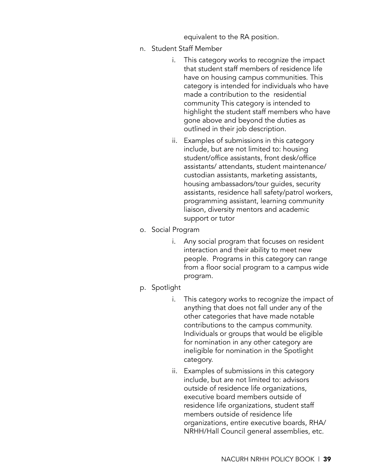equivalent to the RA position.

- n. Student Staff Member
	- i. This category works to recognize the impact that student staff members of residence life have on housing campus communities. This category is intended for individuals who have made a contribution to the residential community This category is intended to highlight the student staff members who have gone above and beyond the duties as outlined in their job description.
	- ii. Examples of submissions in this category include, but are not limited to: housing student/office assistants, front desk/office assistants/ attendants, student maintenance/ custodian assistants, marketing assistants, housing ambassadors/tour guides, security assistants, residence hall safety/patrol workers, programming assistant, learning community liaison, diversity mentors and academic support or tutor
- o. Social Program
	- i. Any social program that focuses on resident interaction and their ability to meet new people. Programs in this category can range from a floor social program to a campus wide program.
- p. Spotlight
	- i. This category works to recognize the impact of anything that does not fall under any of the other categories that have made notable contributions to the campus community. Individuals or groups that would be eligible for nomination in any other category are ineligible for nomination in the Spotlight category.
	- ii. Examples of submissions in this category include, but are not limited to: advisors outside of residence life organizations, executive board members outside of residence life organizations, student staff members outside of residence life organizations, entire executive boards, RHA/ NRHH/Hall Council general assemblies, etc.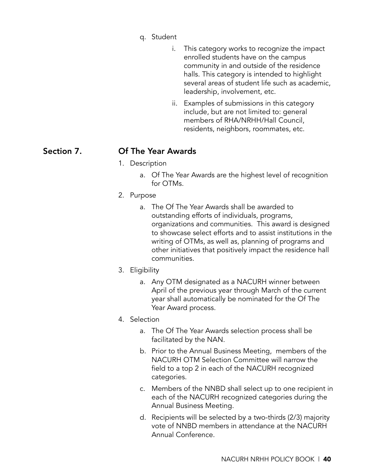- q. Student
	- i. This category works to recognize the impact enrolled students have on the campus community in and outside of the residence halls. This category is intended to highlight several areas of student life such as academic, leadership, involvement, etc.
	- ii. Examples of submissions in this category include, but are not limited to: general members of RHA/NRHH/Hall Council, residents, neighbors, roommates, etc.

### Section 7. Of The Year Awards

- 1. Description
	- a. Of The Year Awards are the highest level of recognition for OTMs.
- 2. Purpose
	- a. The Of The Year Awards shall be awarded to outstanding efforts of individuals, programs, organizations and communities. This award is designed to showcase select efforts and to assist institutions in the writing of OTMs, as well as, planning of programs and other initiatives that positively impact the residence hall communities.
- 3. Eligibility
	- a. Any OTM designated as a NACURH winner between April of the previous year through March of the current year shall automatically be nominated for the Of The Year Award process.
- 4. Selection
	- a. The Of The Year Awards selection process shall be facilitated by the NAN.
	- b. Prior to the Annual Business Meeting, members of the NACURH OTM Selection Committee will narrow the field to a top 2 in each of the NACURH recognized categories.
	- c. Members of the NNBD shall select up to one recipient in each of the NACURH recognized categories during the Annual Business Meeting.
	- d. Recipients will be selected by a two-thirds (2/3) majority vote of NNBD members in attendance at the NACURH Annual Conference.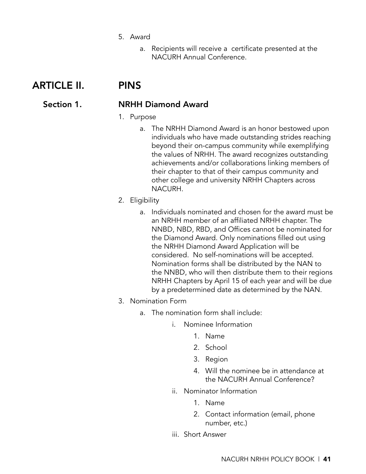- 5. Award
	- a. Recipients will receive a certificate presented at the NACURH Annual Conference.

# ARTICLE II. PINS

#### Section 1. NRHH Diamond Award

#### 1. Purpose

a. The NRHH Diamond Award is an honor bestowed upon individuals who have made outstanding strides reaching beyond their on-campus community while exemplifying the values of NRHH. The award recognizes outstanding achievements and/or collaborations linking members of their chapter to that of their campus community and other college and university NRHH Chapters across NACURH.

#### 2. Eligibility

- a. Individuals nominated and chosen for the award must be an NRHH member of an affiliated NRHH chapter. The NNBD, NBD, RBD, and Offices cannot be nominated for the Diamond Award. Only nominations filled out using the NRHH Diamond Award Application will be considered. No self-nominations will be accepted. Nomination forms shall be distributed by the NAN to the NNBD, who will then distribute them to their regions NRHH Chapters by April 15 of each year and will be due by a predetermined date as determined by the NAN.
- 3. Nomination Form
	- a. The nomination form shall include:
		- i. Nominee Information
			- 1. Name
			- 2. School
			- 3. Region
			- 4. Will the nominee be in attendance at the NACURH Annual Conference?
		- ii. Nominator Information
			- 1. Name
			- 2. Contact information (email, phone number, etc.)
		- iii. Short Answer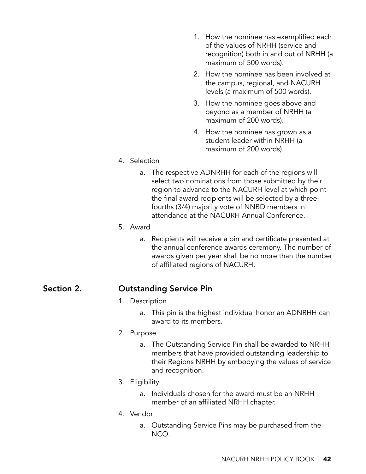- 1. How the nominee has exemplified each of the values of NRHH (service and recognition) both in and out of NRHH (a maximum of 500 words).
- 2. How the nominee has been involved at the campus, regional, and NACURH levels (a maximum of 500 words).
- 3. How the nominee goes above and beyond as a member of NRHH (a maximum of 200 words).
- 4. How the nominee has grown as a student leader within NRHH (a maximum of 200 words).

#### 4. Selection

- a. The respective ADNRHH for each of the regions will select two nominations from those submitted by their region to advance to the NACURH level at which point the final award recipients will be selected by a threefourths (3/4) majority vote of NNBD members in attendance at the NACURH Annual Conference.
- 5. Award
	- a. Recipients will receive a pin and certificate presented at the annual conference awards ceremony. The number of awards given per year shall be no more than the number of affiliated regions of NACURH.

#### Section 2. Outstanding Service Pin

- 1. Description
	- a. This pin is the highest individual honor an ADNRHH can award to its members.
- 2. Purpose
	- a. The Outstanding Service Pin shall be awarded to NRHH members that have provided outstanding leadership to their Regions NRHH by embodying the values of service and recognition.
- 3. Eligibility
	- a. Individuals chosen for the award must be an NRHH member of an affiliated NRHH chapter.
- 4. Vendor
	- a. Outstanding Service Pins may be purchased from the NCO.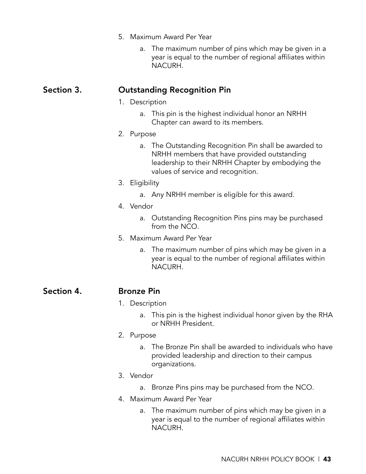#### 5. Maximum Award Per Year

a. The maximum number of pins which may be given in a year is equal to the number of regional affiliates within NACURH.

#### Section 3. Outstanding Recognition Pin

- 1. Description
	- a. This pin is the highest individual honor an NRHH Chapter can award to its members.
- 2. Purpose
	- a. The Outstanding Recognition Pin shall be awarded to NRHH members that have provided outstanding leadership to their NRHH Chapter by embodying the values of service and recognition.
- 3. Eligibility
	- a. Any NRHH member is eligible for this award.
- 4. Vendor
	- a. Outstanding Recognition Pins pins may be purchased from the NCO.
- 5. Maximum Award Per Year
	- a. The maximum number of pins which may be given in a year is equal to the number of regional affiliates within NACURH.

Section 4. Bronze Pin

#### 1. Description

- a. This pin is the highest individual honor given by the RHA or NRHH President.
- 2. Purpose
	- a. The Bronze Pin shall be awarded to individuals who have provided leadership and direction to their campus organizations.

#### 3. Vendor

- a. Bronze Pins pins may be purchased from the NCO.
- 4. Maximum Award Per Year
	- a. The maximum number of pins which may be given in a year is equal to the number of regional affiliates within NACURH.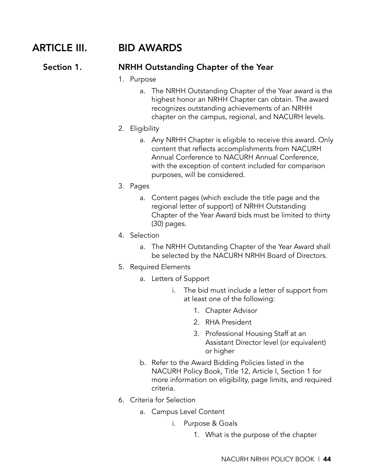# ARTICLE III. BID AWARDS

#### Section 1. NRHH Outstanding Chapter of the Year

- 1. Purpose
	- a. The NRHH Outstanding Chapter of the Year award is the highest honor an NRHH Chapter can obtain. The award recognizes outstanding achievements of an NRHH chapter on the campus, regional, and NACURH levels.
- 2. Eligibility
	- a. Any NRHH Chapter is eligible to receive this award. Only content that reflects accomplishments from NACURH Annual Conference to NACURH Annual Conference, with the exception of content included for comparison purposes, will be considered.
- 3. Pages
	- a. Content pages (which exclude the title page and the regional letter of support) of NRHH Outstanding Chapter of the Year Award bids must be limited to thirty (30) pages.
- 4. Selection
	- a. The NRHH Outstanding Chapter of the Year Award shall be selected by the NACURH NRHH Board of Directors.
- 5. Required Elements
	- a. Letters of Support
		- i. The bid must include a letter of support from at least one of the following:
			- 1. Chapter Advisor
			- 2. RHA President
			- 3. Professional Housing Staff at an Assistant Director level (or equivalent) or higher
	- b. Refer to the Award Bidding Policies listed in the NACURH Policy Book, Title 12, Article I, Section 1 for more information on eligibility, page limits, and required criteria.
- 6. Criteria for Selection
	- a. Campus Level Content
		- i. Purpose & Goals
			- 1. What is the purpose of the chapter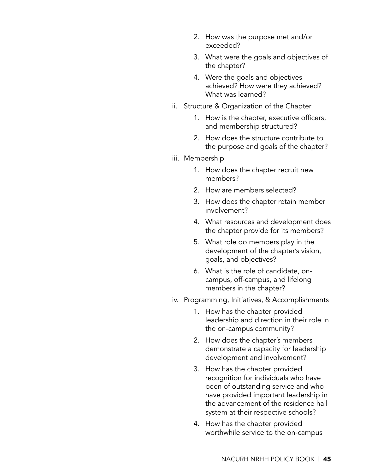- 2. How was the purpose met and/or exceeded?
- 3. What were the goals and objectives of the chapter?
- 4. Were the goals and objectives achieved? How were they achieved? What was learned?
- ii. Structure & Organization of the Chapter
	- 1. How is the chapter, executive officers, and membership structured?
	- 2. How does the structure contribute to the purpose and goals of the chapter?
- iii. Membership
	- 1. How does the chapter recruit new members?
	- 2. How are members selected?
	- 3. How does the chapter retain member involvement?
	- 4. What resources and development does the chapter provide for its members?
	- 5. What role do members play in the development of the chapter's vision, goals, and objectives?
	- 6. What is the role of candidate, oncampus, off-campus, and lifelong members in the chapter?
- iv. Programming, Initiatives, & Accomplishments
	- 1. How has the chapter provided leadership and direction in their role in the on-campus community?
	- 2. How does the chapter's members demonstrate a capacity for leadership development and involvement?
	- 3. How has the chapter provided recognition for individuals who have been of outstanding service and who have provided important leadership in the advancement of the residence hall system at their respective schools?
	- 4. How has the chapter provided worthwhile service to the on-campus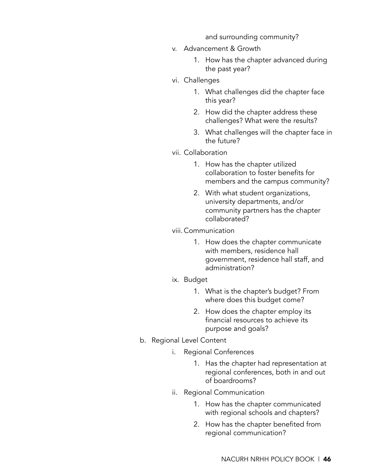and surrounding community?

- v. Advancement & Growth
	- 1. How has the chapter advanced during the past year?
- vi. Challenges
	- 1. What challenges did the chapter face this year?
	- 2. How did the chapter address these challenges? What were the results?
	- 3. What challenges will the chapter face in the future?
- vii. Collaboration
	- 1. How has the chapter utilized collaboration to foster benefits for members and the campus community?
	- 2. With what student organizations, university departments, and/or community partners has the chapter collaborated?
- viii. Communication
	- 1. How does the chapter communicate with members, residence hall government, residence hall staff, and administration?
- ix. Budget
	- 1. What is the chapter's budget? From where does this budget come?
	- 2. How does the chapter employ its financial resources to achieve its purpose and goals?
- b. Regional Level Content
	- i. Regional Conferences
		- 1. Has the chapter had representation at regional conferences, both in and out of boardrooms?
	- ii. Regional Communication
		- 1. How has the chapter communicated with regional schools and chapters?
		- 2. How has the chapter benefited from regional communication?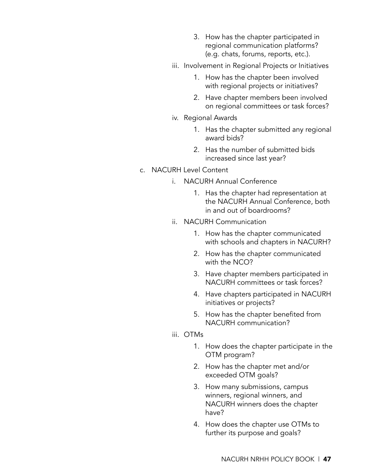- 3. How has the chapter participated in regional communication platforms? (e.g. chats, forums, reports, etc.).
- iii. Involvement in Regional Projects or Initiatives
	- 1. How has the chapter been involved with regional projects or initiatives?
	- 2. Have chapter members been involved on regional committees or task forces?
- iv. Regional Awards
	- 1. Has the chapter submitted any regional award bids?
	- 2. Has the number of submitted bids increased since last year?
- c. NACURH Level Content
	- i. NACURH Annual Conference
		- 1. Has the chapter had representation at the NACURH Annual Conference, both in and out of boardrooms?
	- ii. NACURH Communication
		- 1. How has the chapter communicated with schools and chapters in NACURH?
		- 2. How has the chapter communicated with the NCO?
		- 3. Have chapter members participated in NACURH committees or task forces?
		- 4. Have chapters participated in NACURH initiatives or projects?
		- 5. How has the chapter benefited from NACURH communication?
	- iii. OTMs
		- 1. How does the chapter participate in the OTM program?
		- 2. How has the chapter met and/or exceeded OTM goals?
		- 3. How many submissions, campus winners, regional winners, and NACURH winners does the chapter have?
		- 4. How does the chapter use OTMs to further its purpose and goals?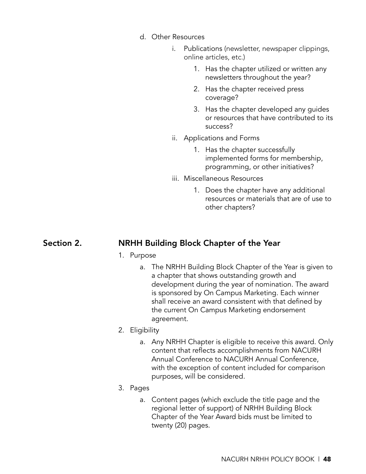- d. Other Resources
	- i. Publications (newsletter, newspaper clippings, online articles, etc.)
		- 1. Has the chapter utilized or written any newsletters throughout the year?
		- 2. Has the chapter received press coverage?
		- 3. Has the chapter developed any guides or resources that have contributed to its success?
	- ii. Applications and Forms
		- 1. Has the chapter successfully implemented forms for membership, programming, or other initiatives?
	- iii. Miscellaneous Resources
		- 1. Does the chapter have any additional resources or materials that are of use to other chapters?

### Section 2. NRHH Building Block Chapter of the Year

- 1. Purpose
	- a. The NRHH Building Block Chapter of the Year is given to a chapter that shows outstanding growth and development during the year of nomination. The award is sponsored by On Campus Marketing. Each winner shall receive an award consistent with that defined by the current On Campus Marketing endorsement agreement.
- 2. Eligibility
	- a. Any NRHH Chapter is eligible to receive this award. Only content that reflects accomplishments from NACURH Annual Conference to NACURH Annual Conference, with the exception of content included for comparison purposes, will be considered.
- 3. Pages
	- a. Content pages (which exclude the title page and the regional letter of support) of NRHH Building Block Chapter of the Year Award bids must be limited to twenty (20) pages.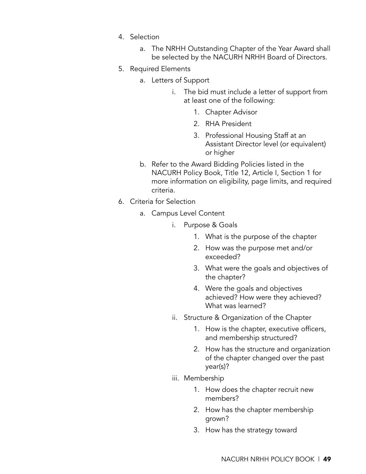- 4. Selection
	- a. The NRHH Outstanding Chapter of the Year Award shall be selected by the NACURH NRHH Board of Directors.
- 5. Required Elements
	- a. Letters of Support
		- i. The bid must include a letter of support from at least one of the following:
			- 1. Chapter Advisor
			- 2. RHA President
			- 3. Professional Housing Staff at an Assistant Director level (or equivalent) or higher
	- b. Refer to the Award Bidding Policies listed in the NACURH Policy Book, Title 12, Article I, Section 1 for more information on eligibility, page limits, and required criteria.
- 6. Criteria for Selection
	- a. Campus Level Content
		- i. Purpose & Goals
			- 1. What is the purpose of the chapter
			- 2. How was the purpose met and/or exceeded?
			- 3. What were the goals and objectives of the chapter?
			- 4. Were the goals and objectives achieved? How were they achieved? What was learned?
		- ii. Structure & Organization of the Chapter
			- 1. How is the chapter, executive officers, and membership structured?
			- 2. How has the structure and organization of the chapter changed over the past year(s)?
		- iii. Membership
			- 1. How does the chapter recruit new members?
			- 2. How has the chapter membership grown?
			- 3. How has the strategy toward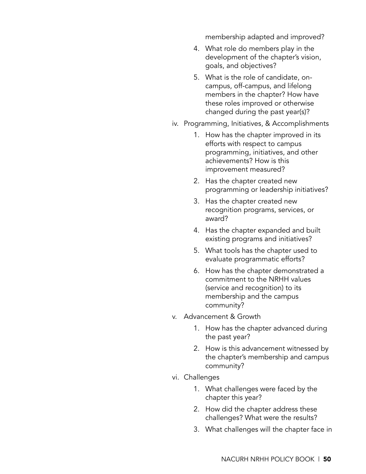membership adapted and improved?

- 4. What role do members play in the development of the chapter's vision, goals, and objectives?
- 5. What is the role of candidate, oncampus, off-campus, and lifelong members in the chapter? How have these roles improved or otherwise changed during the past year(s)?
- iv. Programming, Initiatives, & Accomplishments
	- 1. How has the chapter improved in its efforts with respect to campus programming, initiatives, and other achievements? How is this improvement measured?
	- 2. Has the chapter created new programming or leadership initiatives?
	- 3. Has the chapter created new recognition programs, services, or award?
	- 4. Has the chapter expanded and built existing programs and initiatives?
	- 5. What tools has the chapter used to evaluate programmatic efforts?
	- 6. How has the chapter demonstrated a commitment to the NRHH values (service and recognition) to its membership and the campus community?
- v. Advancement & Growth
	- 1. How has the chapter advanced during the past year?
	- 2. How is this advancement witnessed by the chapter's membership and campus community?
- vi. Challenges
	- 1. What challenges were faced by the chapter this year?
	- 2. How did the chapter address these challenges? What were the results?
	- 3. What challenges will the chapter face in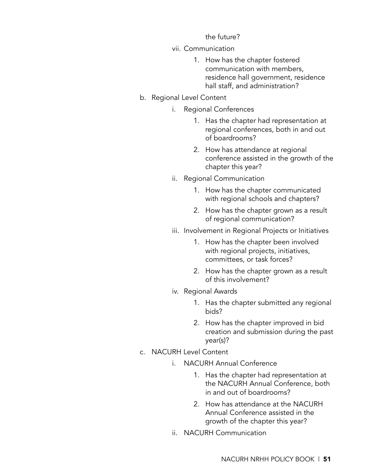the future?

#### vii. Communication

- 1. How has the chapter fostered communication with members, residence hall government, residence hall staff, and administration?
- b. Regional Level Content
	- i. Regional Conferences
		- 1. Has the chapter had representation at regional conferences, both in and out of boardrooms?
		- 2. How has attendance at regional conference assisted in the growth of the chapter this year?
	- ii. Regional Communication
		- 1. How has the chapter communicated with regional schools and chapters?
		- 2. How has the chapter grown as a result of regional communication?
	- iii. Involvement in Regional Projects or Initiatives
		- 1. How has the chapter been involved with regional projects, initiatives, committees, or task forces?
		- 2. How has the chapter grown as a result of this involvement?
	- iv. Regional Awards
		- 1. Has the chapter submitted any regional bids?
		- 2. How has the chapter improved in bid creation and submission during the past year(s)?
- c. NACURH Level Content
	- i. NACURH Annual Conference
		- 1. Has the chapter had representation at the NACURH Annual Conference, both in and out of boardrooms?
		- 2. How has attendance at the NACURH Annual Conference assisted in the growth of the chapter this year?
	- ii. NACURH Communication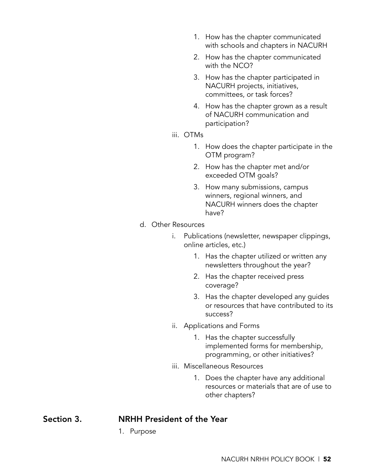- 1. How has the chapter communicated with schools and chapters in NACURH
- 2. How has the chapter communicated with the NCO?
- 3. How has the chapter participated in NACURH projects, initiatives, committees, or task forces?
- 4. How has the chapter grown as a result of NACURH communication and participation?
- iii. OTMs
	- 1. How does the chapter participate in the OTM program?
	- 2. How has the chapter met and/or exceeded OTM goals?
	- 3. How many submissions, campus winners, regional winners, and NACURH winners does the chapter have?
- d. Other Resources
	- i. Publications (newsletter, newspaper clippings, online articles, etc.)
		- 1. Has the chapter utilized or written any newsletters throughout the year?
		- 2. Has the chapter received press coverage?
		- 3. Has the chapter developed any guides or resources that have contributed to its success?
	- ii. Applications and Forms
		- 1. Has the chapter successfully implemented forms for membership, programming, or other initiatives?
	- iii. Miscellaneous Resources
		- 1. Does the chapter have any additional resources or materials that are of use to other chapters?

# Section 3. NRHH President of the Year

1. Purpose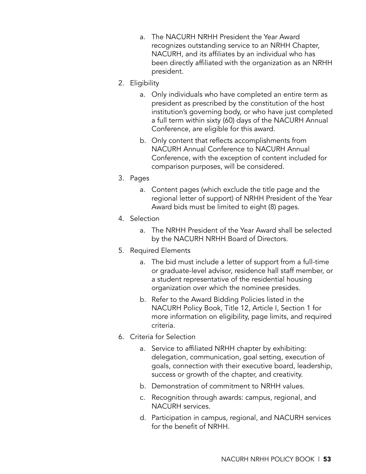- a. The NACURH NRHH President the Year Award recognizes outstanding service to an NRHH Chapter, NACURH, and its affiliates by an individual who has been directly affiliated with the organization as an NRHH president.
- 2. Eligibility
	- a. Only individuals who have completed an entire term as president as prescribed by the constitution of the host institution's governing body, or who have just completed a full term within sixty (60) days of the NACURH Annual Conference, are eligible for this award.
	- b. Only content that reflects accomplishments from NACURH Annual Conference to NACURH Annual Conference, with the exception of content included for comparison purposes, will be considered.
- 3. Pages
	- a. Content pages (which exclude the title page and the regional letter of support) of NRHH President of the Year Award bids must be limited to eight (8) pages.
- 4. Selection
	- a. The NRHH President of the Year Award shall be selected by the NACURH NRHH Board of Directors.
- 5. Required Elements
	- a. The bid must include a letter of support from a full-time or graduate-level advisor, residence hall staff member, or a student representative of the residential housing organization over which the nominee presides.
	- b. Refer to the Award Bidding Policies listed in the NACURH Policy Book, Title 12, Article I, Section 1 for more information on eligibility, page limits, and required criteria.
- 6. Criteria for Selection
	- a. Service to affiliated NRHH chapter by exhibiting: delegation, communication, goal setting, execution of goals, connection with their executive board, leadership, success or growth of the chapter, and creativity.
	- b. Demonstration of commitment to NRHH values.
	- c. Recognition through awards: campus, regional, and NACURH services.
	- d. Participation in campus, regional, and NACURH services for the benefit of NRHH.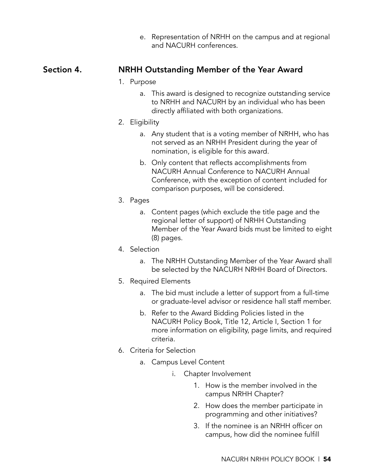e. Representation of NRHH on the campus and at regional and NACURH conferences.

#### Section 4. NRHH Outstanding Member of the Year Award

#### 1. Purpose

a. This award is designed to recognize outstanding service to NRHH and NACURH by an individual who has been directly affiliated with both organizations.

#### 2. Eligibility

- a. Any student that is a voting member of NRHH, who has not served as an NRHH President during the year of nomination, is eligible for this award.
- b. Only content that reflects accomplishments from NACURH Annual Conference to NACURH Annual Conference, with the exception of content included for comparison purposes, will be considered.

#### 3. Pages

- a. Content pages (which exclude the title page and the regional letter of support) of NRHH Outstanding Member of the Year Award bids must be limited to eight (8) pages.
- 4. Selection
	- a. The NRHH Outstanding Member of the Year Award shall be selected by the NACURH NRHH Board of Directors.
- 5. Required Elements
	- a. The bid must include a letter of support from a full-time or graduate-level advisor or residence hall staff member.
	- b. Refer to the Award Bidding Policies listed in the NACURH Policy Book, Title 12, Article I, Section 1 for more information on eligibility, page limits, and required criteria.
- 6. Criteria for Selection
	- a. Campus Level Content
		- i. Chapter Involvement
			- 1. How is the member involved in the campus NRHH Chapter?
			- 2. How does the member participate in programming and other initiatives?
			- 3. If the nominee is an NRHH officer on campus, how did the nominee fulfill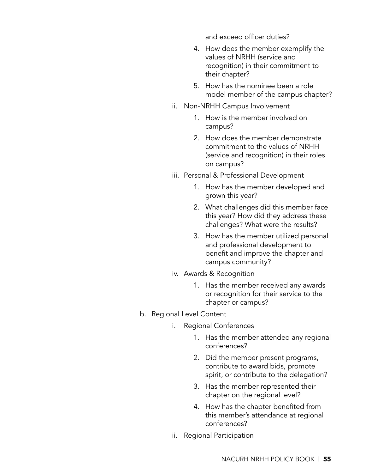and exceed officer duties?

- 4. How does the member exemplify the values of NRHH (service and recognition) in their commitment to their chapter?
- 5. How has the nominee been a role model member of the campus chapter?
- ii. Non-NRHH Campus Involvement
	- 1. How is the member involved on campus?
	- 2. How does the member demonstrate commitment to the values of NRHH (service and recognition) in their roles on campus?
- iii. Personal & Professional Development
	- 1. How has the member developed and grown this year?
	- 2. What challenges did this member face this year? How did they address these challenges? What were the results?
	- 3. How has the member utilized personal and professional development to benefit and improve the chapter and campus community?
- iv. Awards & Recognition
	- 1. Has the member received any awards or recognition for their service to the chapter or campus?
- b. Regional Level Content
	- i. Regional Conferences
		- 1. Has the member attended any regional conferences?
		- 2. Did the member present programs, contribute to award bids, promote spirit, or contribute to the delegation?
		- 3. Has the member represented their chapter on the regional level?
		- 4. How has the chapter benefited from this member's attendance at regional conferences?
	- ii. Regional Participation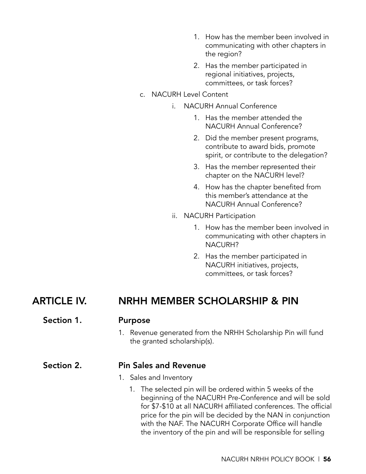- 1. How has the member been involved in communicating with other chapters in the region?
- 2. Has the member participated in regional initiatives, projects, committees, or task forces?
- c. NACURH Level Content
	- i. NACURH Annual Conference
		- 1. Has the member attended the NACURH Annual Conference?
		- 2. Did the member present programs, contribute to award bids, promote spirit, or contribute to the delegation?
		- 3. Has the member represented their chapter on the NACURH level?
		- 4. How has the chapter benefited from this member's attendance at the NACURH Annual Conference?
	- ii. NACURH Participation
		- 1. How has the member been involved in communicating with other chapters in NACURH?
		- 2. Has the member participated in NACURH initiatives, projects, committees, or task forces?

## ARTICLE IV. NRHH MEMBER SCHOLARSHIP & PIN

#### Section 1. Purpose

1. Revenue generated from the NRHH Scholarship Pin will fund the granted scholarship(s).

#### Section 2. Pin Sales and Revenue

- 1. Sales and Inventory
	- 1. The selected pin will be ordered within 5 weeks of the beginning of the NACURH Pre-Conference and will be sold for \$7-\$10 at all NACURH affiliated conferences. The official price for the pin will be decided by the NAN in conjunction with the NAF. The NACURH Corporate Office will handle the inventory of the pin and will be responsible for selling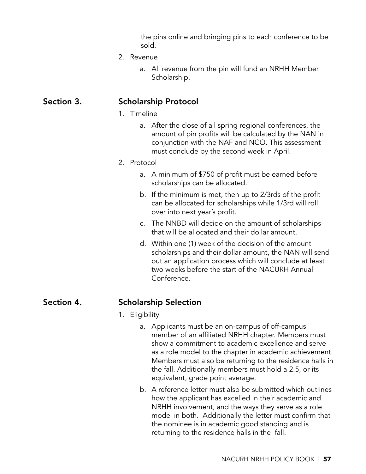the pins online and bringing pins to each conference to be sold.

- 2. Revenue
	- a. All revenue from the pin will fund an NRHH Member Scholarship.

#### Section 3. Scholarship Protocol

- 1. Timeline
	- a. After the close of all spring regional conferences, the amount of pin profits will be calculated by the NAN in conjunction with the NAF and NCO. This assessment must conclude by the second week in April.

#### 2. Protocol

- a. A minimum of \$750 of profit must be earned before scholarships can be allocated.
- b. If the minimum is met, then up to 2/3rds of the profit can be allocated for scholarships while 1/3rd will roll over into next year's profit.
- c. The NNBD will decide on the amount of scholarships that will be allocated and their dollar amount.
- d. Within one (1) week of the decision of the amount scholarships and their dollar amount, the NAN will send out an application process which will conclude at least two weeks before the start of the NACURH Annual Conference.

#### Section 4. Scholarship Selection

#### 1. Eligibility

- a. Applicants must be an on-campus of off-campus member of an affiliated NRHH chapter. Members must show a commitment to academic excellence and serve as a role model to the chapter in academic achievement. Members must also be returning to the residence halls in the fall. Additionally members must hold a 2.5, or its equivalent, grade point average.
- b. A reference letter must also be submitted which outlines how the applicant has excelled in their academic and NRHH involvement, and the ways they serve as a role model in both. Additionally the letter must confirm that the nominee is in academic good standing and is returning to the residence halls in the fall.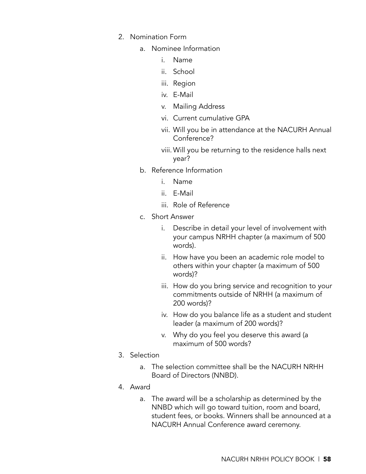- 2. Nomination Form
	- a. Nominee Information
		- i. Name
		- ii. School
		- iii. Region
		- iv. E-Mail
		- v. Mailing Address
		- vi. Current cumulative GPA
		- vii. Will you be in attendance at the NACURH Annual Conference?
		- viii.Will you be returning to the residence halls next year?
	- b. Reference Information
		- i. Name
		- ii. E-Mail
		- iii. Role of Reference
	- c. Short Answer
		- i. Describe in detail your level of involvement with your campus NRHH chapter (a maximum of 500 words).
		- ii. How have you been an academic role model to others within your chapter (a maximum of 500 words)?
		- iii. How do you bring service and recognition to your commitments outside of NRHH (a maximum of 200 words)?
		- iv. How do you balance life as a student and student leader (a maximum of 200 words)?
		- v. Why do you feel you deserve this award (a maximum of 500 words?
- 3. Selection
	- a. The selection committee shall be the NACURH NRHH Board of Directors (NNBD).
- 4. Award
	- a. The award will be a scholarship as determined by the NNBD which will go toward tuition, room and board, student fees, or books. Winners shall be announced at a NACURH Annual Conference award ceremony.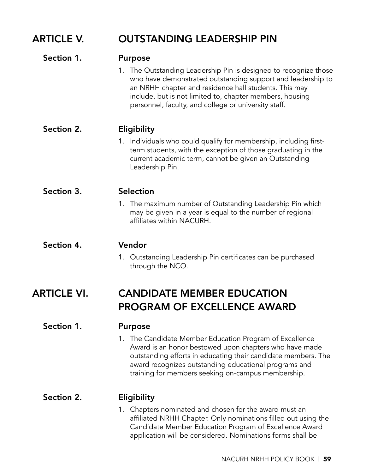# ARTICLE V. OUTSTANDING LEADERSHIP PIN

| Section 1.         | <b>Purpose</b>                                                                                                                                                                                                                                                                                               |
|--------------------|--------------------------------------------------------------------------------------------------------------------------------------------------------------------------------------------------------------------------------------------------------------------------------------------------------------|
|                    | 1. The Outstanding Leadership Pin is designed to recognize those<br>who have demonstrated outstanding support and leadership to<br>an NRHH chapter and residence hall students. This may<br>include, but is not limited to, chapter members, housing<br>personnel, faculty, and college or university staff. |
| Section 2.         | Eligibility                                                                                                                                                                                                                                                                                                  |
|                    | 1. Individuals who could qualify for membership, including first-<br>term students, with the exception of those graduating in the<br>current academic term, cannot be given an Outstanding<br>Leadership Pin.                                                                                                |
| Section 3.         | <b>Selection</b>                                                                                                                                                                                                                                                                                             |
|                    | 1. The maximum number of Outstanding Leadership Pin which<br>may be given in a year is equal to the number of regional<br>affiliates within NACURH.                                                                                                                                                          |
| Section 4.         | Vendor                                                                                                                                                                                                                                                                                                       |
|                    | 1. Outstanding Leadership Pin certificates can be purchased<br>through the NCO.                                                                                                                                                                                                                              |
| <b>ARTICLE VI.</b> | <b>CANDIDATE MEMBER EDUCATION</b>                                                                                                                                                                                                                                                                            |
|                    | <b>PROGRAM OF EXCELLENCE AWARD</b>                                                                                                                                                                                                                                                                           |
| Section 1.         | <b>Purpose</b>                                                                                                                                                                                                                                                                                               |
|                    | 1. The Candidate Member Education Program of Excellence                                                                                                                                                                                                                                                      |

Award is an honor bestowed upon chapters who have made outstanding efforts in educating their candidate members. The award recognizes outstanding educational programs and training for members seeking on-campus membership.

#### Section 2. **Eligibility**

1. Chapters nominated and chosen for the award must an affiliated NRHH Chapter. Only nominations filled out using the Candidate Member Education Program of Excellence Award application will be considered. Nominations forms shall be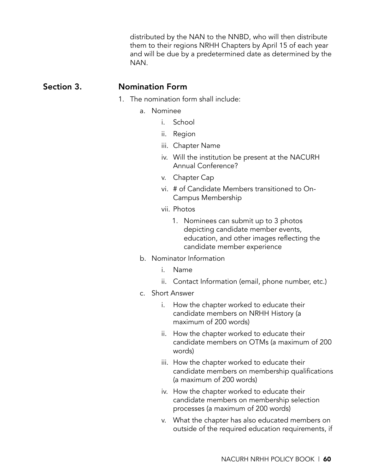distributed by the NAN to the NNBD, who will then distribute them to their regions NRHH Chapters by April 15 of each year and will be due by a predetermined date as determined by the NAN.

#### Section 3. Nomination Form

- 1. The nomination form shall include:
	- a. Nominee
		- i. School
		- ii. Region
		- iii. Chapter Name
		- iv. Will the institution be present at the NACURH Annual Conference?
		- v. Chapter Cap
		- vi. # of Candidate Members transitioned to On-Campus Membership
		- vii. Photos
			- 1. Nominees can submit up to 3 photos depicting candidate member events, education, and other images reflecting the candidate member experience
	- b. Nominator Information
		- i. Name
		- ii. Contact Information (email, phone number, etc.)
	- c. Short Answer
		- i. How the chapter worked to educate their candidate members on NRHH History (a maximum of 200 words)
		- ii. How the chapter worked to educate their candidate members on OTMs (a maximum of 200 words)
		- iii. How the chapter worked to educate their candidate members on membership qualifications (a maximum of 200 words)
		- iv. How the chapter worked to educate their candidate members on membership selection processes (a maximum of 200 words)
		- v. What the chapter has also educated members on outside of the required education requirements, if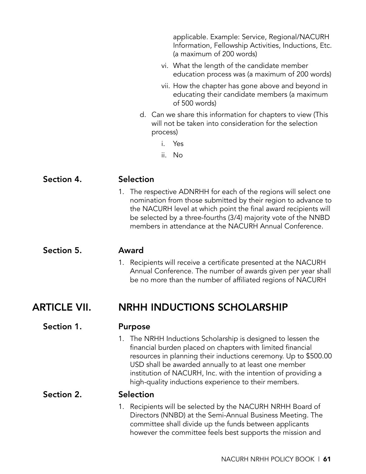applicable. Example: Service, Regional/NACURH Information, Fellowship Activities, Inductions, Etc. (a maximum of 200 words)

- vi. What the length of the candidate member education process was (a maximum of 200 words)
- vii. How the chapter has gone above and beyond in educating their candidate members (a maximum of 500 words)
- d. Can we share this information for chapters to view (This will not be taken into consideration for the selection process)
	- i. Yes
	- ii. No

| Section 4.          | <b>Selection</b>                                                                                                                                                                                                                                                                                                                                                               |
|---------------------|--------------------------------------------------------------------------------------------------------------------------------------------------------------------------------------------------------------------------------------------------------------------------------------------------------------------------------------------------------------------------------|
|                     | 1. The respective ADNRHH for each of the regions will select one<br>nomination from those submitted by their region to advance to<br>the NACURH level at which point the final award recipients will<br>be selected by a three-fourths (3/4) majority vote of the NNBD<br>members in attendance at the NACURH Annual Conference.                                               |
| Section 5.          | Award                                                                                                                                                                                                                                                                                                                                                                          |
|                     | 1. Recipients will receive a certificate presented at the NACURH<br>Annual Conference. The number of awards given per year shall<br>be no more than the number of affiliated regions of NACURH                                                                                                                                                                                 |
| <b>ARTICLE VII.</b> | <b>NRHH INDUCTIONS SCHOLARSHIP</b>                                                                                                                                                                                                                                                                                                                                             |
| Section 1.          | <b>Purpose</b>                                                                                                                                                                                                                                                                                                                                                                 |
|                     | 1. The NRHH Inductions Scholarship is designed to lessen the<br>financial burden placed on chapters with limited financial<br>resources in planning their inductions ceremony. Up to \$500.00<br>USD shall be awarded annually to at least one member<br>institution of NACURH, Inc. with the intention of providing a<br>high-quality inductions experience to their members. |
| Section 2.          | Selection                                                                                                                                                                                                                                                                                                                                                                      |
|                     | 1. Recipients will be selected by the NACURH NRHH Board of<br>Directors (NNBD) at the Semi-Annual Business Meeting. The<br>committee shall divide up the funds between applicants<br>however the committee feels best supports the mission and                                                                                                                                 |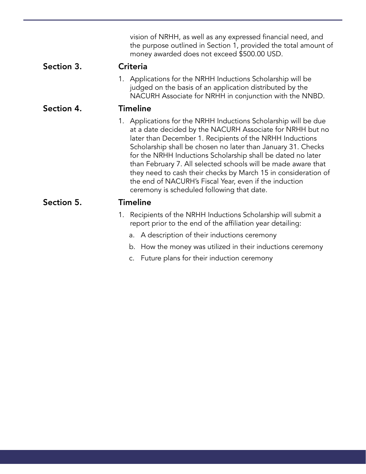|            | vision of NRHH, as well as any expressed financial need, and<br>the purpose outlined in Section 1, provided the total amount of<br>money awarded does not exceed \$500.00 USD.                                                                                                                                                                                                                                                                                                                                                                                     |
|------------|--------------------------------------------------------------------------------------------------------------------------------------------------------------------------------------------------------------------------------------------------------------------------------------------------------------------------------------------------------------------------------------------------------------------------------------------------------------------------------------------------------------------------------------------------------------------|
| Section 3. | <b>Criteria</b>                                                                                                                                                                                                                                                                                                                                                                                                                                                                                                                                                    |
|            | 1. Applications for the NRHH Inductions Scholarship will be<br>judged on the basis of an application distributed by the<br>NACURH Associate for NRHH in conjunction with the NNBD.                                                                                                                                                                                                                                                                                                                                                                                 |
| Section 4. | <b>Timeline</b>                                                                                                                                                                                                                                                                                                                                                                                                                                                                                                                                                    |
|            | 1. Applications for the NRHH Inductions Scholarship will be due<br>at a date decided by the NACURH Associate for NRHH but no<br>later than December 1. Recipients of the NRHH Inductions<br>Scholarship shall be chosen no later than January 31. Checks<br>for the NRHH Inductions Scholarship shall be dated no later<br>than February 7. All selected schools will be made aware that<br>they need to cash their checks by March 15 in consideration of<br>the end of NACURH's Fiscal Year, even if the induction<br>ceremony is scheduled following that date. |
| Section 5. | <b>Timeline</b>                                                                                                                                                                                                                                                                                                                                                                                                                                                                                                                                                    |
|            | 1. Recipients of the NRHH Inductions Scholarship will submit a<br>report prior to the end of the affiliation year detailing:                                                                                                                                                                                                                                                                                                                                                                                                                                       |
|            | a. A description of their inductions ceremony                                                                                                                                                                                                                                                                                                                                                                                                                                                                                                                      |
|            | b. How the money was utilized in their inductions ceremony                                                                                                                                                                                                                                                                                                                                                                                                                                                                                                         |
|            | c. Future plans for their induction ceremony                                                                                                                                                                                                                                                                                                                                                                                                                                                                                                                       |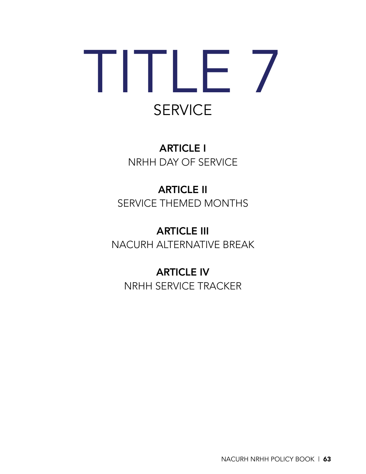# TITLE 7 **SERVICE**

ARTICLE I NRHH DAY OF SERVICE

# ARTICLE II SERVICE THEMED MONTHS

ARTICLE III NACURH ALTERNATIVE BREAK

ARTICLE IV NRHH SERVICE TRACKER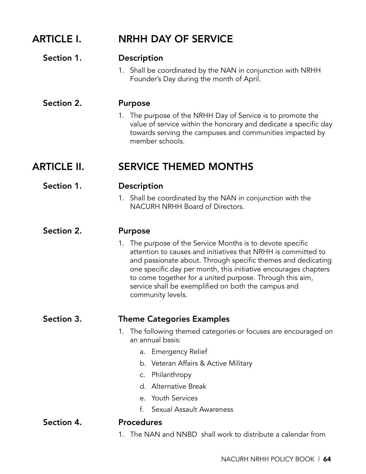| <b>ARTICLE I.</b>  | <b>NRHH DAY OF SERVICE</b>                                                                                                                                                                                                                                                                                                                                                                                               |
|--------------------|--------------------------------------------------------------------------------------------------------------------------------------------------------------------------------------------------------------------------------------------------------------------------------------------------------------------------------------------------------------------------------------------------------------------------|
| Section 1.         | <b>Description</b><br>1. Shall be coordinated by the NAN in conjunction with NRHH<br>Founder's Day during the month of April.                                                                                                                                                                                                                                                                                            |
| Section 2.         | <b>Purpose</b><br>1. The purpose of the NRHH Day of Service is to promote the<br>value of service within the honorary and dedicate a specific day<br>towards serving the campuses and communities impacted by<br>member schools.                                                                                                                                                                                         |
| <b>ARTICLE II.</b> | <b>SERVICE THEMED MONTHS</b>                                                                                                                                                                                                                                                                                                                                                                                             |
| Section 1.         | <b>Description</b><br>1. Shall be coordinated by the NAN in conjunction with the<br>NACURH NRHH Board of Directors.                                                                                                                                                                                                                                                                                                      |
| Section 2.         | <b>Purpose</b><br>1. The purpose of the Service Months is to devote specific<br>attention to causes and initiatives that NRHH is committed to<br>and passionate about. Through specific themes and dedicating<br>one specific day per month, this initiative encourages chapters<br>to come together for a united purpose. Through this aim,<br>service shall be exemplified on both the campus and<br>community levels. |
| Section 3.         | <b>Theme Categories Examples</b><br>The following themed categories or focuses are encouraged on<br>1.<br>an annual basis:<br>a. Emergency Relief<br>b. Veteran Affairs & Active Military<br>c. Philanthropy<br>d. Alternative Break<br>e. Youth Services<br>Sexual Assault Awareness<br>$f_{\cdot}$                                                                                                                     |
| Section 4.         | <b>Procedures</b><br>The NAN and NNBD shall work to distribute a calendar from<br>1.                                                                                                                                                                                                                                                                                                                                     |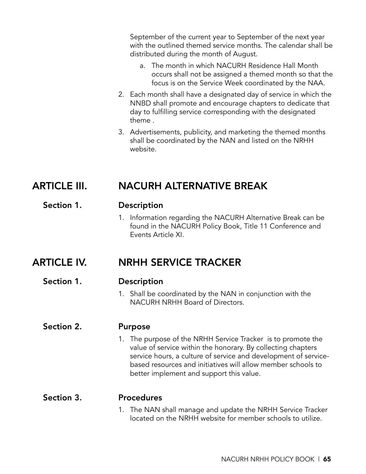September of the current year to September of the next year with the outlined themed service months. The calendar shall be distributed during the month of August.

- a. The month in which NACURH Residence Hall Month occurs shall not be assigned a themed month so that the focus is on the Service Week coordinated by the NAA.
- 2. Each month shall have a designated day of service in which the NNBD shall promote and encourage chapters to dedicate that day to fulfilling service corresponding with the designated theme .
- 3. Advertisements, publicity, and marketing the themed months shall be coordinated by the NAN and listed on the NRHH website.

# ARTICLE III. NACURH ALTERNATIVE BREAK

#### Section 1. Description

1. Information regarding the NACURH Alternative Break can be found in the NACURH Policy Book, Title 11 Conference and Events Article XI.

## ARTICLE IV. NRHH SERVICE TRACKER

#### Section 1. Description

1. Shall be coordinated by the NAN in conjunction with the NACURH NRHH Board of Directors.

#### Section 2. Purpose

1. The purpose of the NRHH Service Tracker is to promote the value of service within the honorary. By collecting chapters service hours, a culture of service and development of servicebased resources and initiatives will allow member schools to better implement and support this value.

#### Section 3. Procedures

1. The NAN shall manage and update the NRHH Service Tracker located on the NRHH website for member schools to utilize.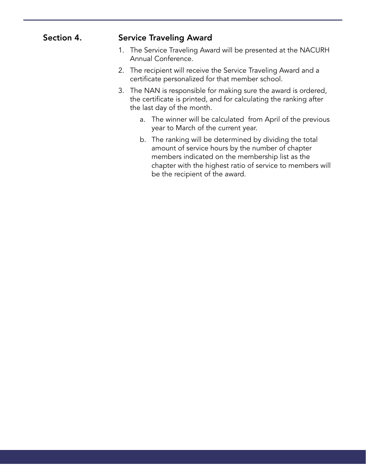| Section 4. | <b>Service Traveling Award</b>                                                                                                                                                                                                                                |
|------------|---------------------------------------------------------------------------------------------------------------------------------------------------------------------------------------------------------------------------------------------------------------|
|            | 1. The Service Traveling Award will be presented at the NACURH<br>Annual Conference.                                                                                                                                                                          |
|            | 2. The recipient will receive the Service Traveling Award and a<br>certificate personalized for that member school.                                                                                                                                           |
|            | 3. The NAN is responsible for making sure the award is ordered,<br>the certificate is printed, and for calculating the ranking after<br>the last day of the month.                                                                                            |
|            | a. The winner will be calculated from April of the previous<br>year to March of the current year.                                                                                                                                                             |
|            | b. The ranking will be determined by dividing the total<br>amount of service hours by the number of chapter<br>members indicated on the membership list as the<br>chapter with the highest ratio of service to members will<br>be the recipient of the award. |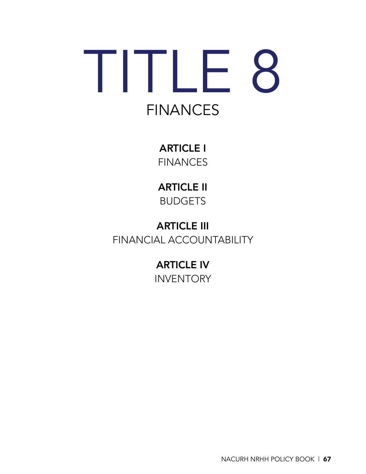# TITLE 8 **FINANCES**

ARTICLE I **FINANCES** 

ARTICLE II BUDGETS

ARTICLE III FINANCIAL ACCOUNTABILITY

> ARTICLE IV **INVENTORY**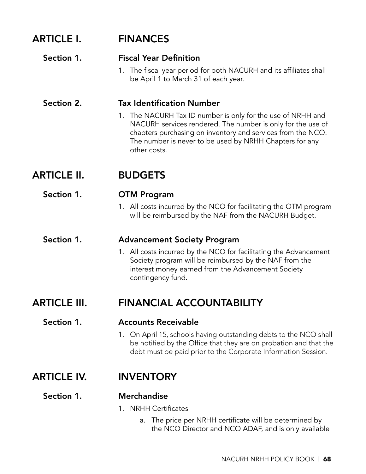| <b>ARTICLE I.</b>   | <b>FINANCES</b>                                                                                                                                                                                         |
|---------------------|---------------------------------------------------------------------------------------------------------------------------------------------------------------------------------------------------------|
| Section 1.          | <b>Fiscal Year Definition</b><br>1. The fiscal year period for both NACURH and its affiliates shall<br>be April 1 to March 31 of each year.                                                             |
| Section 2.          | <b>Tax Identification Number</b><br>1. The NACURH Tax ID number is only for the use of NRHH and                                                                                                         |
|                     | NACURH services rendered. The number is only for the use of<br>chapters purchasing on inventory and services from the NCO.<br>The number is never to be used by NRHH Chapters for any<br>other costs.   |
| <b>ARTICLE II.</b>  | <b>BUDGETS</b>                                                                                                                                                                                          |
| Section 1.          | <b>OTM Program</b>                                                                                                                                                                                      |
|                     | 1. All costs incurred by the NCO for facilitating the OTM program<br>will be reimbursed by the NAF from the NACURH Budget.                                                                              |
| Section 1.          | <b>Advancement Society Program</b>                                                                                                                                                                      |
|                     | 1. All costs incurred by the NCO for facilitating the Advancement<br>Society program will be reimbursed by the NAF from the<br>interest money earned from the Advancement Society<br>contingency fund.  |
| <b>ARTICLE III.</b> | <b>FINANCIAL ACCOUNTABILITY</b>                                                                                                                                                                         |
| Section 1.          | <b>Accounts Receivable</b>                                                                                                                                                                              |
|                     | 1. On April 15, schools having outstanding debts to the NCO shall<br>be notified by the Office that they are on probation and that the<br>debt must be paid prior to the Corporate Information Session. |
| <b>ARTICLE IV.</b>  | <b>INVENTORY</b>                                                                                                                                                                                        |
| Section 1.          | <b>Merchandise</b>                                                                                                                                                                                      |
|                     | 1. NRHH Certificates                                                                                                                                                                                    |
|                     | a. The price per NRHH certificate will be determined by                                                                                                                                                 |

the NCO Director and NCO ADAF, and is only available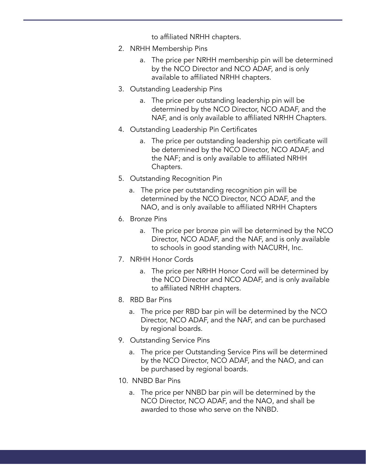to affiliated NRHH chapters.

- 2. NRHH Membership Pins
	- a. The price per NRHH membership pin will be determined by the NCO Director and NCO ADAF, and is only available to affiliated NRHH chapters.
- 3. Outstanding Leadership Pins
	- a. The price per outstanding leadership pin will be determined by the NCO Director, NCO ADAF, and the NAF, and is only available to affiliated NRHH Chapters.
- 4. Outstanding Leadership Pin Certificates
	- a. The price per outstanding leadership pin certificate will be determined by the NCO Director, NCO ADAF, and the NAF; and is only available to affiliated NRHH Chapters.
- 5. Outstanding Recognition Pin
	- a. The price per outstanding recognition pin will be determined by the NCO Director, NCO ADAF, and the NAO, and is only available to affiliated NRHH Chapters
- 6. Bronze Pins
	- a. The price per bronze pin will be determined by the NCO Director, NCO ADAF, and the NAF, and is only available to schools in good standing with NACURH, Inc.
- 7. NRHH Honor Cords
	- a. The price per NRHH Honor Cord will be determined by the NCO Director and NCO ADAF, and is only available to affiliated NRHH chapters.
- 8. RBD Bar Pins
	- a. The price per RBD bar pin will be determined by the NCO Director, NCO ADAF, and the NAF, and can be purchased by regional boards.
- 9. Outstanding Service Pins
	- a. The price per Outstanding Service Pins will be determined by the NCO Director, NCO ADAF, and the NAO, and can be purchased by regional boards.
- 10. NNBD Bar Pins
	- a. The price per NNBD bar pin will be determined by the NCO Director, NCO ADAF, and the NAO, and shall be awarded to those who serve on the NNBD.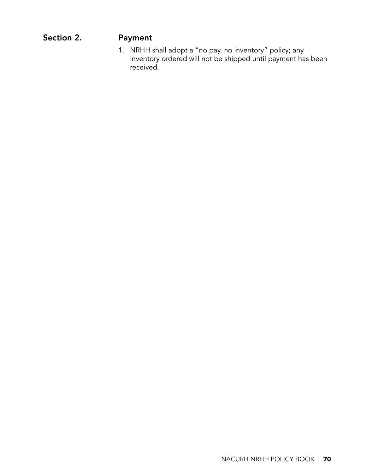# Section 2. Payment

1. NRHH shall adopt a "no pay, no inventory" policy; any inventory ordered will not be shipped until payment has been received.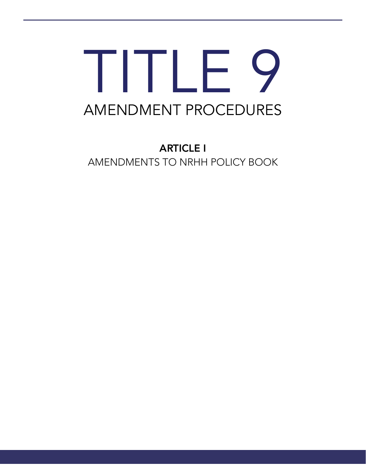# TITLE 9 AMENDMENT PROCEDURES

ARTICLE I AMENDMENTS TO NRHH POLICY BOOK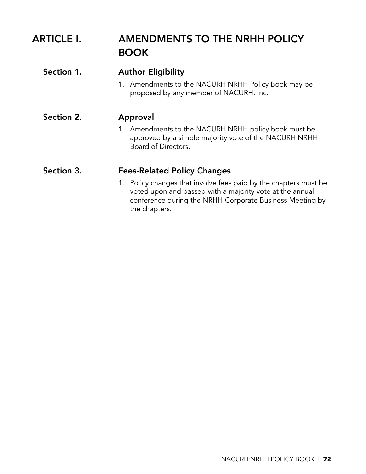# ARTICLE I. AMENDMENTS TO THE NRHH POLICY BOOK

| Section 1. | <b>Author Eligibility</b><br>1. Amendments to the NACURH NRHH Policy Book may be<br>proposed by any member of NACURH, Inc.                                                                                |
|------------|-----------------------------------------------------------------------------------------------------------------------------------------------------------------------------------------------------------|
| Section 2. | Approval                                                                                                                                                                                                  |
|            | 1. Amendments to the NACURH NRHH policy book must be<br>approved by a simple majority vote of the NACURH NRHH<br>Board of Directors.                                                                      |
| Section 3. | <b>Fees-Related Policy Changes</b>                                                                                                                                                                        |
|            | 1. Policy changes that involve fees paid by the chapters must be<br>voted upon and passed with a majority vote at the annual<br>conference during the NRHH Corporate Business Meeting by<br>the chapters. |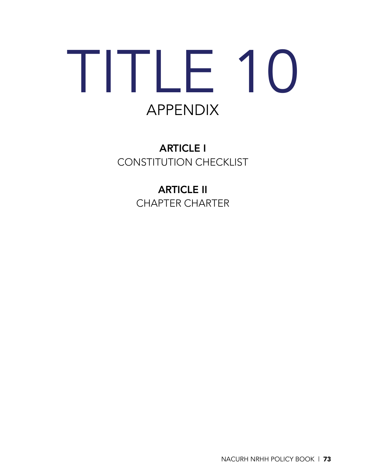# TITLE 10 APPENDIX

ARTICLE I CONSTITUTION CHECKLIST

> ARTICLE II CHAPTER CHARTER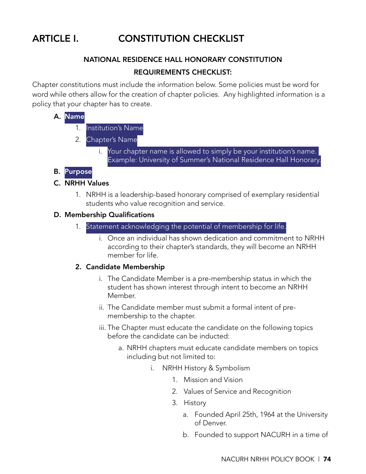# ARTICLE I. CONSTITUTION CHECKLIST

# NATIONAL RESIDENCE HALL HONORARY CONSTITUTION REQUIREMENTS CHECKLIST:

Chapter constitutions must include the information below. Some policies must be word for word while others allow for the creation of chapter policies. Any highlighted information is a policy that your chapter has to create.

#### A. Name

- 1. Institution's Name
- 2. Chapter's Name
	- i. Your chapter name is allowed to simply be your institution's name. Example: University of Summer's National Residence Hall Honorary.

#### B. Purpose

#### C. NRHH Values

1. NRHH is a leadership-based honorary comprised of exemplary residential students who value recognition and service.

#### D. Membership Qualifications

- 1. Statement acknowledging the potential of membership for life.
	- i. Once an individual has shown dedication and commitment to NRHH according to their chapter's standards, they will become an NRHH member for life.

#### 2. Candidate Membership

- i. The Candidate Member is a pre-membership status in which the student has shown interest through intent to become an NRHH Member.
- ii. The Candidate member must submit a formal intent of premembership to the chapter.
- iii. The Chapter must educate the candidate on the following topics before the candidate can be inducted:
	- a. NRHH chapters must educate candidate members on topics including but not limited to:
		- i. NRHH History & Symbolism
			- 1. Mission and Vision
			- 2. Values of Service and Recognition
			- 3. History
				- a. Founded April 25th, 1964 at the University of Denver.
				- b. Founded to support NACURH in a time of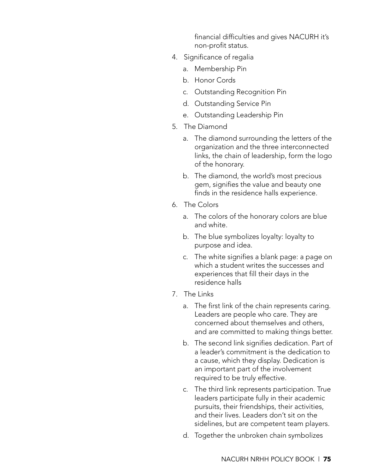financial difficulties and gives NACURH it's non-profit status.

- 4. Significance of regalia
	- a. Membership Pin
	- b. Honor Cords
	- c. Outstanding Recognition Pin
	- d. Outstanding Service Pin
	- e. Outstanding Leadership Pin
- 5. The Diamond
	- a. The diamond surrounding the letters of the organization and the three interconnected links, the chain of leadership, form the logo of the honorary.
	- b. The diamond, the world's most precious gem, signifies the value and beauty one finds in the residence halls experience.
- 6. The Colors
	- a. The colors of the honorary colors are blue and white.
	- b. The blue symbolizes loyalty: loyalty to purpose and idea.
	- c. The white signifies a blank page: a page on which a student writes the successes and experiences that fill their days in the residence halls
- 7. The Links
	- a. The first link of the chain represents caring. Leaders are people who care. They are concerned about themselves and others, and are committed to making things better.
	- b. The second link signifies dedication. Part of a leader's commitment is the dedication to a cause, which they display. Dedication is an important part of the involvement required to be truly effective.
	- c. The third link represents participation. True leaders participate fully in their academic pursuits, their friendships, their activities, and their lives. Leaders don't sit on the sidelines, but are competent team players.
	- d. Together the unbroken chain symbolizes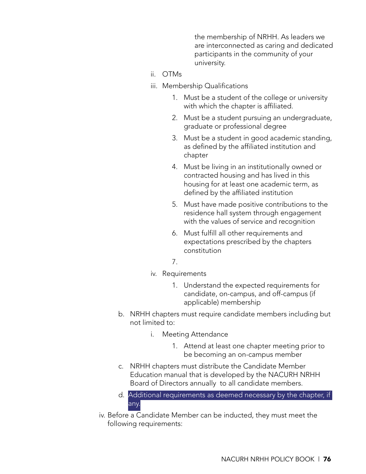the membership of NRHH. As leaders we are interconnected as caring and dedicated participants in the community of your university.

- ii. OTMs
- iii. Membership Qualifications
	- 1. Must be a student of the college or university with which the chapter is affiliated.
	- 2. Must be a student pursuing an undergraduate, graduate or professional degree
	- 3. Must be a student in good academic standing, as defined by the affiliated institution and chapter
	- 4. Must be living in an institutionally owned or contracted housing and has lived in this housing for at least one academic term, as defined by the affiliated institution
	- 5. Must have made positive contributions to the residence hall system through engagement with the values of service and recognition
	- 6. Must fulfill all other requirements and expectations prescribed by the chapters constitution
	- 7.
- iv. Requirements
	- 1. Understand the expected requirements for candidate, on-campus, and off-campus (if applicable) membership
- b. NRHH chapters must require candidate members including but not limited to:
	- i. Meeting Attendance
		- 1. Attend at least one chapter meeting prior to be becoming an on-campus member
- c. NRHH chapters must distribute the Candidate Member Education manual that is developed by the NACURH NRHH Board of Directors annually to all candidate members.
- d. Additional requirements as deemed necessary by the chapter, if any.
- iv. Before a Candidate Member can be inducted, they must meet the following requirements: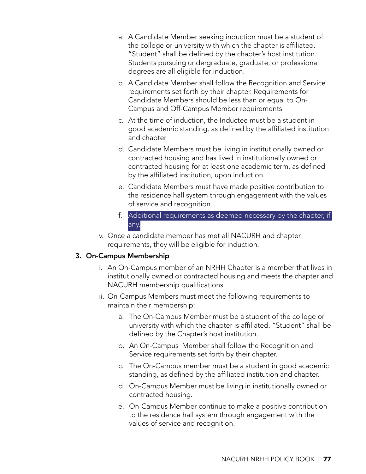- a. A Candidate Member seeking induction must be a student of the college or university with which the chapter is affiliated. "Student" shall be defined by the chapter's host institution. Students pursuing undergraduate, graduate, or professional degrees are all eligible for induction.
- b. A Candidate Member shall follow the Recognition and Service requirements set forth by their chapter. Requirements for Candidate Members should be less than or equal to On-Campus and Off-Campus Member requirements
- c. At the time of induction, the Inductee must be a student in good academic standing, as defined by the affiliated institution and chapter
- d. Candidate Members must be living in institutionally owned or contracted housing and has lived in institutionally owned or contracted housing for at least one academic term, as defined by the affiliated institution, upon induction.
- e. Candidate Members must have made positive contribution to the residence hall system through engagement with the values of service and recognition.
- f. Additional requirements as deemed necessary by the chapter, if any.
- v. Once a candidate member has met all NACURH and chapter requirements, they will be eligible for induction.

#### 3. On-Campus Membership

- i. An On-Campus member of an NRHH Chapter is a member that lives in institutionally owned or contracted housing and meets the chapter and NACURH membership qualifications.
- ii. On-Campus Members must meet the following requirements to maintain their membership:
	- a. The On-Campus Member must be a student of the college or university with which the chapter is affiliated. "Student" shall be defined by the Chapter's host institution.
	- b. An On-Campus Member shall follow the Recognition and Service requirements set forth by their chapter.
	- c. The On-Campus member must be a student in good academic standing, as defined by the affiliated institution and chapter.
	- d. On-Campus Member must be living in institutionally owned or contracted housing.
	- e. On-Campus Member continue to make a positive contribution to the residence hall system through engagement with the values of service and recognition.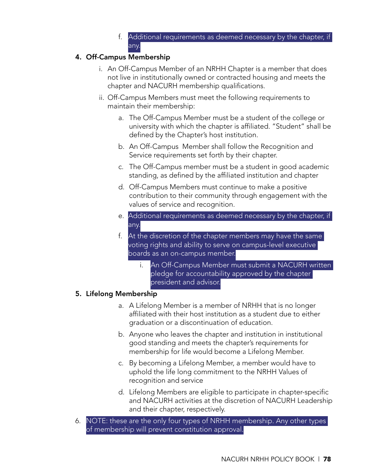f. Additional requirements as deemed necessary by the chapter, if any.

## 4. Off-Campus Membership

- i. An Off-Campus Member of an NRHH Chapter is a member that does not live in institutionally owned or contracted housing and meets the chapter and NACURH membership qualifications.
- ii. Off-Campus Members must meet the following requirements to maintain their membership:
	- a. The Off-Campus Member must be a student of the college or university with which the chapter is affiliated. "Student" shall be defined by the Chapter's host institution.
	- b. An Off-Campus Member shall follow the Recognition and Service requirements set forth by their chapter.
	- c. The Off-Campus member must be a student in good academic standing, as defined by the affiliated institution and chapter
	- d. Off-Campus Members must continue to make a positive contribution to their community through engagement with the values of service and recognition.
	- e. Additional requirements as deemed necessary by the chapter, if any.
	- f. At the discretion of the chapter members may have the same voting rights and ability to serve on campus-level executive boards as an on-campus member.
		- i. An Off-Campus Member must submit a NACURH written pledge for accountability approved by the chapter president and advisor.

# 5. Lifelong Membership

- a. A Lifelong Member is a member of NRHH that is no longer affiliated with their host institution as a student due to either graduation or a discontinuation of education.
- b. Anyone who leaves the chapter and institution in institutional good standing and meets the chapter's requirements for membership for life would become a Lifelong Member.
- c. By becoming a Lifelong Member, a member would have to uphold the life long commitment to the NRHH Values of recognition and service
- d. Lifelong Members are eligible to participate in chapter-specific and NACURH activities at the discretion of NACURH Leadership and their chapter, respectively.
- 6. NOTE: these are the only four types of NRHH membership. Any other types of membership will prevent constitution approval.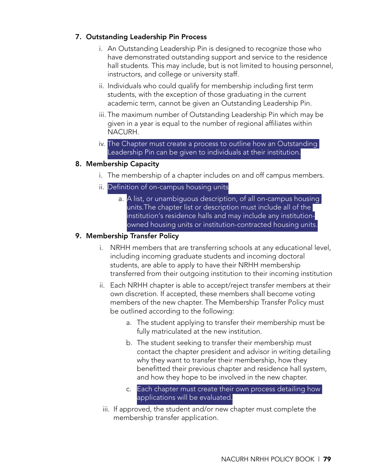#### 7. Outstanding Leadership Pin Process

- i. An Outstanding Leadership Pin is designed to recognize those who have demonstrated outstanding support and service to the residence hall students. This may include, but is not limited to housing personnel, instructors, and college or university staff.
- ii. Individuals who could qualify for membership including first term students, with the exception of those graduating in the current academic term, cannot be given an Outstanding Leadership Pin.
- iii. The maximum number of Outstanding Leadership Pin which may be given in a year is equal to the number of regional affiliates within NACURH.
- iv. The Chapter must create a process to outline how an Outstanding Leadership Pin can be given to individuals at their institution.

#### 8. Membership Capacity

- i. The membership of a chapter includes on and off campus members.
- ii. Definition of on-campus housing units
	- a. A list, or unambiguous description, of all on-campus housing units. The chapter list or description must include all of the institution's residence halls and may include any institutionowned housing units or institution-contracted housing units.

#### 9. Membership Transfer Policy

- i. NRHH members that are transferring schools at any educational level, including incoming graduate students and incoming doctoral students, are able to apply to have their NRHH membership transferred from their outgoing institution to their incoming institution
- ii. Each NRHH chapter is able to accept/reject transfer members at their own discretion. If accepted, these members shall become voting members of the new chapter. The Membership Transfer Policy must be outlined according to the following:
	- a. The student applying to transfer their membership must be fully matriculated at the new institution.
	- b. The student seeking to transfer their membership must contact the chapter president and advisor in writing detailing why they want to transfer their membership, how they benefitted their previous chapter and residence hall system, and how they hope to be involved in the new chapter.
	- c. Each chapter must create their own process detailing how applications will be evaluated.
- iii. If approved, the student and/or new chapter must complete the membership transfer application.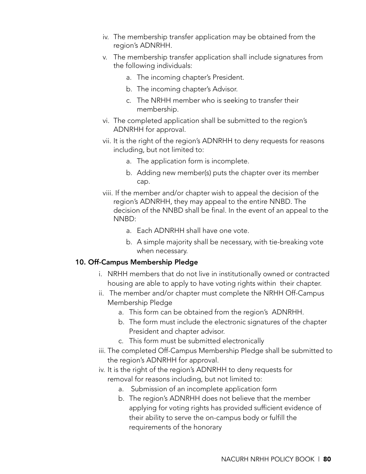- iv. The membership transfer application may be obtained from the region's ADNRHH.
- v. The membership transfer application shall include signatures from the following individuals:
	- a. The incoming chapter's President.
	- b. The incoming chapter's Advisor.
	- c. The NRHH member who is seeking to transfer their membership.
- vi. The completed application shall be submitted to the region's ADNRHH for approval.
- vii. It is the right of the region's ADNRHH to deny requests for reasons including, but not limited to:
	- a. The application form is incomplete.
	- b. Adding new member(s) puts the chapter over its member cap.
- viii. If the member and/or chapter wish to appeal the decision of the region's ADNRHH, they may appeal to the entire NNBD. The decision of the NNBD shall be final. In the event of an appeal to the NNBD:
	- a. Each ADNRHH shall have one vote.
	- b. A simple majority shall be necessary, with tie-breaking vote when necessary.

#### 10. Off-Campus Membership Pledge

- i. NRHH members that do not live in institutionally owned or contracted housing are able to apply to have voting rights within their chapter.
- ii. The member and/or chapter must complete the NRHH Off-Campus Membership Pledge
	- a. This form can be obtained from the region's ADNRHH.
	- b. The form must include the electronic signatures of the chapter President and chapter advisor.
	- c. This form must be submitted electronically
- iii. The completed Off-Campus Membership Pledge shall be submitted to the region's ADNRHH for approval.
- iv. It is the right of the region's ADNRHH to deny requests for removal for reasons including, but not limited to:
	- a. Submission of an incomplete application form
	- b. The region's ADNRHH does not believe that the member applying for voting rights has provided sufficient evidence of their ability to serve the on-campus body or fulfill the requirements of the honorary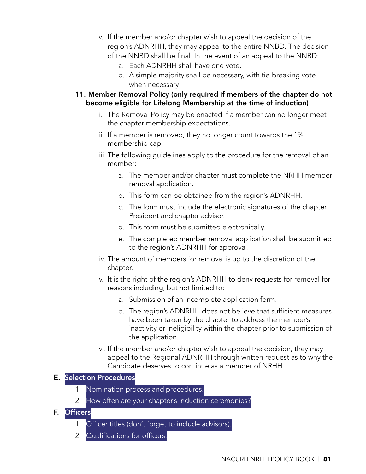- v. If the member and/or chapter wish to appeal the decision of the region's ADNRHH, they may appeal to the entire NNBD. The decision of the NNBD shall be final. In the event of an appeal to the NNBD:
	- a. Each ADNRHH shall have one vote.
	- b. A simple majority shall be necessary, with tie-breaking vote when necessary
- 11. Member Removal Policy (only required if members of the chapter do not become eligible for Lifelong Membership at the time of induction)
	- i. The Removal Policy may be enacted if a member can no longer meet the chapter membership expectations.
	- ii. If a member is removed, they no longer count towards the 1% membership cap.
	- iii. The following guidelines apply to the procedure for the removal of an member:
		- a. The member and/or chapter must complete the NRHH member removal application.
		- b. This form can be obtained from the region's ADNRHH.
		- c. The form must include the electronic signatures of the chapter President and chapter advisor.
		- d. This form must be submitted electronically.
		- e. The completed member removal application shall be submitted to the region's ADNRHH for approval.
	- iv. The amount of members for removal is up to the discretion of the chapter.
	- v. It is the right of the region's ADNRHH to deny requests for removal for reasons including, but not limited to:
		- a. Submission of an incomplete application form.
		- b. The region's ADNRHH does not believe that sufficient measures have been taken by the chapter to address the member's inactivity or ineligibility within the chapter prior to submission of the application.
	- vi. If the member and/or chapter wish to appeal the decision, they may appeal to the Regional ADNRHH through written request as to why the Candidate deserves to continue as a member of NRHH.

#### E. Selection Procedures

- 1. Nomination process and procedures.
- 2. How often are your chapter's induction ceremonies?

#### F. Officers

- 1. Officer titles (don't forget to include advisors).
- 2. Qualifications for officers.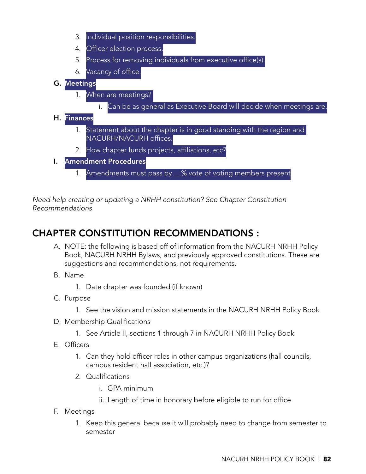- 3. Individual position responsibilities.
- 4. Officer election process.
- 5. Process for removing individuals from executive office(s).
- 6. Vacancy of office.

## G. Meetings

- 1. When are meetings?
	- i. Can be as general as Executive Board will decide when meetings are.

#### H. Finances

- 1. Statement about the chapter is in good standing with the region and NACURH/NACURH offices.
- 2. How chapter funds projects, affiliations, etc?
- I. Amendment Procedures
	- 1. Amendments must pass by \_% vote of voting members present

*Need help creating or updating a NRHH constitution? See Chapter Constitution Recommendations* 

# CHAPTER CONSTITUTION RECOMMENDATIONS :

- A. NOTE: the following is based off of information from the NACURH NRHH Policy Book, NACURH NRHH Bylaws, and previously approved constitutions. These are suggestions and recommendations, not requirements.
- B. Name
	- 1. Date chapter was founded (if known)
- C. Purpose
	- 1. See the vision and mission statements in the NACURH NRHH Policy Book
- D. Membership Qualifications
	- 1. See Article II, sections 1 through 7 in NACURH NRHH Policy Book
- E. Officers
	- 1. Can they hold officer roles in other campus organizations (hall councils, campus resident hall association, etc.)?
	- 2. Qualifications
		- i. GPA minimum
		- ii. Length of time in honorary before eligible to run for office
- F. Meetings
	- 1. Keep this general because it will probably need to change from semester to semester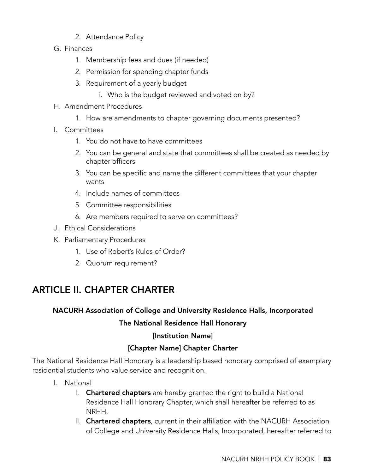- 2. Attendance Policy
- G. Finances
	- 1. Membership fees and dues (if needed)
	- 2. Permission for spending chapter funds
	- 3. Requirement of a yearly budget
		- i. Who is the budget reviewed and voted on by?
- H. Amendment Procedures
	- 1. How are amendments to chapter governing documents presented?
- I. Committees
	- 1. You do not have to have committees
	- 2. You can be general and state that committees shall be created as needed by chapter officers
	- 3. You can be specific and name the different committees that your chapter wants
	- 4. Include names of committees
	- 5. Committee responsibilities
	- 6. Are members required to serve on committees?
- J. Ethical Considerations
- K. Parliamentary Procedures
	- 1. Use of Robert's Rules of Order?
	- 2. Quorum requirement?

# ARTICLE II. CHAPTER CHARTER

# NACURH Association of College and University Residence Halls, Incorporated

#### The National Residence Hall Honorary

#### [Institution Name]

# [Chapter Name] Chapter Charter

The National Residence Hall Honorary is a leadership based honorary comprised of exemplary residential students who value service and recognition.

- I. National
	- I. Chartered chapters are hereby granted the right to build a National Residence Hall Honorary Chapter, which shall hereafter be referred to as NRHH.
	- II. Chartered chapters, current in their affiliation with the NACURH Association of College and University Residence Halls, Incorporated, hereafter referred to